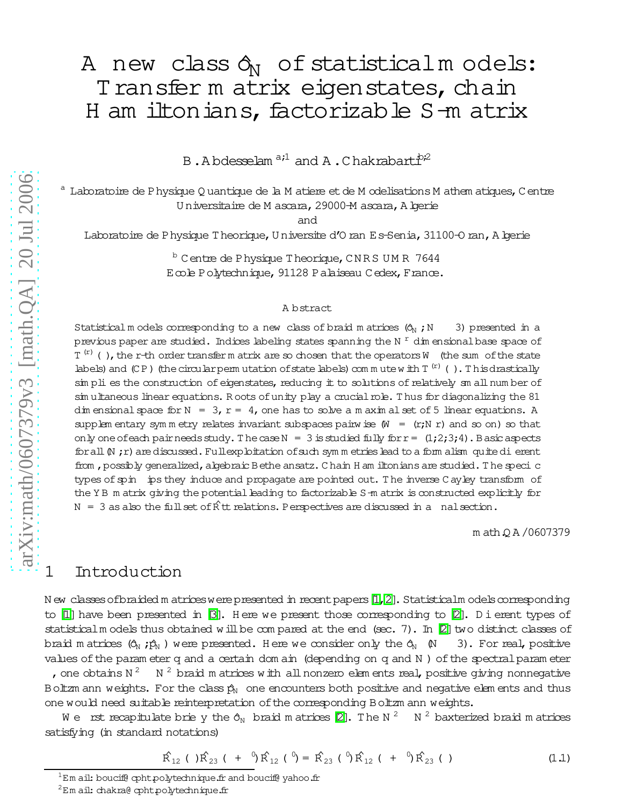B.A bdesselam <sup>a;1</sup> and A.Chakrabart $\dot{P}^2$ 

Laboratoire de Physique Q uantique de la M atiere et de M odelisations M athem atiques, C entre U niversitaire de M ascara,29000-M ascara,Algerie

and

Laboratoire de Physique Theorique, U niversite d'O ran Es-Senia, 31100-O ran, A lgerie

b Centre de Physique Theorique, CN RS UM R 7644 Ecole Polytechnique,91128 Palaiseau Cedex,France.

### A bstract

Statisticalm odels corresponding to a new class of braid m atrices  $(\hat{O}_N;N$  3) presented in a previous paper are studied. Indices labeling states spanning the N  $^{\mathrm{r}}$  dim ensional base space of  $T^{(r)}$  (), the r-th order transferm atrix are so chosen that the operators W (the sum of the state labels) and  $(CP)$  (the circular perm utation of state labels) com m utew ith  $T^{(r)}$  (). This drastically sim pli es the construction of eigenstates, reducing it to solutions of relatively sm all num ber of sim ultaneous linear equations. Roots of unity play a crucial role. Thus for diagonalizing the 81 dim ensional space for  $N = 3$ ,  $r = 4$ , one has to solve a m axim alset of 5 linear equations. A supplem entary sym m etry relates invariant subspaces pairwise  $(W = (r;N r)$  and so on) so that only one of each pair needs study. The case  $N = 3$  is studied fully for  $r = (1,2,3,4)$ . Basic aspects for all  $(N, r)$  are discussed. Fullexploitation of such sym m etries lead to a form alism quite dierent from, possibly generalized, algebraic Bethe ansatz. C hain H am iltonians are studied. The speci c types of spin ips they induce and propagate are pointed out. The inverse C ayley transform of the Y B m atrix giving the potential leading to factorizable S-m atrix is constructed explicitly for  $N = 3$  as also the full set of  $\hat{R}$ tt relations. Perspectives are discussed in a nalsection.

m ath.Q A /0607379

## 1 Introduction

N ew classes of braided m atrices were presented in recent papers  $[1,2]$  $[1,2]$ . Statisticalm odels corresponding to [\[1\]](#page-26-0) have been presented in [\[3\]](#page-26-2). Here we present those corresponding to [\[2\]](#page-26-1). D i erent types of statisticalm odels thus obtained will be compared at the end (sec. 7). In  $[2]$  two distinct classes of braid m atrices  $(\hat{Q}_N : \hat{p}_N)$  were presented. Here we consider only the  $\hat{Q}_N$  (N 3). For real, positive values of the param eter q and a certain dom ain (depending on q and N) of the spectral param eter , one obtains N<sup>2</sup> N<sup>2</sup> braid m atrices with all nonzero elem ents real, positive giving nonnegative Boltzm ann weights. For the class  $\hat{p}_N$  one encounters both positive and negative elem ents and thus one would need suitable reinterpretation ofthe corresponding Boltzm ann weights.

We ist recapitulate briely the  $\delta_\text{N}$  braid m atrices [\[2\]](#page-26-1). The N  $^2$  M  $^2$  baxterized braid m atrices satisfying (in standard notations)

$$
\hat{R}_{12} ( )\hat{R}_{23} ( + ^{0} \hat{R}_{12} ( )^{0} = \hat{R}_{23} ( )^{0} \hat{R}_{12} ( + ^{0} \hat{R}_{23} ( )
$$
 (1.1)

 ${}^{1}$ Em ail: boucif@ cpht.polytechnique.fr and boucif@ yahoo.fr

 $2$ Em ail: chakra@ cpht.polytechnique.fr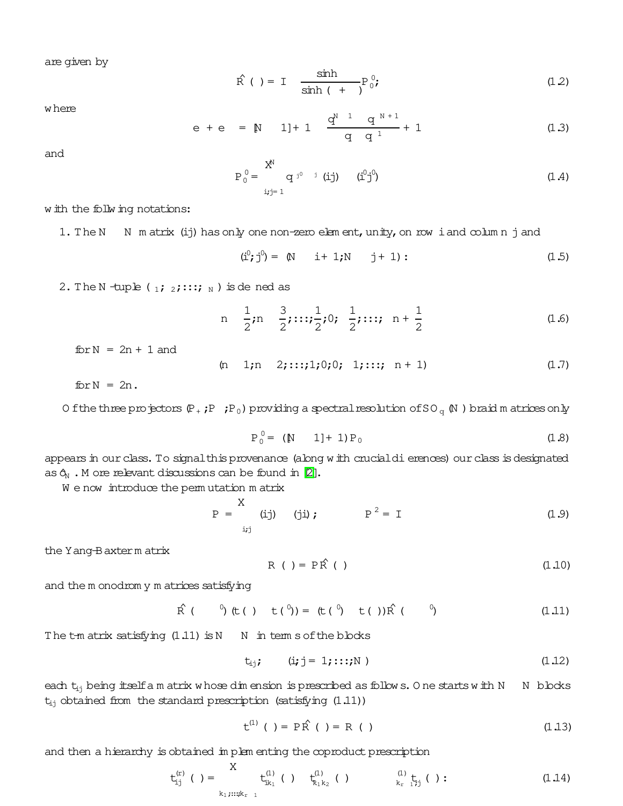are given by

$$
\hat{R}(t) = I \frac{\sinh t}{\sinh t + 1} P_0^0; \qquad (12)
$$

where

$$
e + e = N
$$
 1]+1  $\frac{q^{N-1} q^{N+1}}{q q^1} + 1$  (1.3)

and

$$
P_0^0 = \begin{cases} X^N & \text{if } (i,j) \neq 0 \\ Y^N & \text{if } (i,j) = 1 \end{cases} \tag{1.4}
$$

with the follwing notations:

1. The N N m atrix (ij) has only one non-zero elem ent, unity, on row i and column j and

$$
(\hat{L}^0; j^0) = (N \quad i + 1; N \quad j + 1): \tag{1.5}
$$

2. The N -tuple ( $_1$ ;  $_2$ ;::;; N ) is dened as

n 
$$
\frac{1}{2}
$$
; n  $\frac{3}{2}$ ; ...;  $\frac{1}{2}$ ; 0;  $\frac{1}{2}$ ; ...; n +  $\frac{1}{2}$  (1.6)

 $for N = 2n + 1$  and

 $(n \ 1; n \ 2; \ldots; 1; 0; 0; 1; \ldots; n+1)$  (1.7)

 $for N = 2n$ .

O fthe three projectors  $(P_+$ ;P;P<sub>0</sub>) providing a spectral resolution of SO<sub>q</sub>  $(N$ ) braid m atrices only

$$
P_0^0 = (N \t 1] + 1) P_0 \t (1.8)
$$

appears in our class. To signalthis provenance (along with crucialdierences) our class is designated as  $\hat{O}_N$ . M ore relevant discussions can be found in [\[2\]](#page-26-1).

We now introduce the perm utation matrix

$$
P = \begin{cases} X & (j) \\ ij & (j) \end{cases} \qquad P^2 = I \qquad (1.9)
$$

the Yang-Baxterm atrix

$$
R(t) = P\hat{R}(t)
$$
 (1.10)

and the m onodrom y m atrices satisfying

$$
\hat{R} (0, 0) (t(1, 1)) = (t(0, 0) t(1, 1)) \hat{R} (0, 0)
$$
 (1.11)

The  $t$ -m atrix satisfying  $(1.11)$  is N N in term s of the blocks

$$
t_{ij}; \qquad (i,j = 1; \ldots; N) \qquad (1.12)
$$

each  $t_{ij}$  being itself am atrix whose dim ension is prescribed as follows. O ne starts with N N blocks  $t_{ij}$  obtained from the standard prescription (satisfying  $(1.11)$ )

 $t^{(1)}$  ( ) = P  $\hat{R}$  ( ) = R ( ) (1.13)

and then a hierarchy is obtained in plem enting the coproduct prescription

$$
t_{i,j}^{(r)}( ) = \sum_{k_1,\ldots,k_{r-1}}^{X} t_{ik_1}^{(1)}( ) \t t_{k_1k_2}^{(1)}( ) \t\t t_{k_1+k_2}^{(1)}( ) \t\t t_{k_r-1}^{(1)}( ) \t\t (1.14)
$$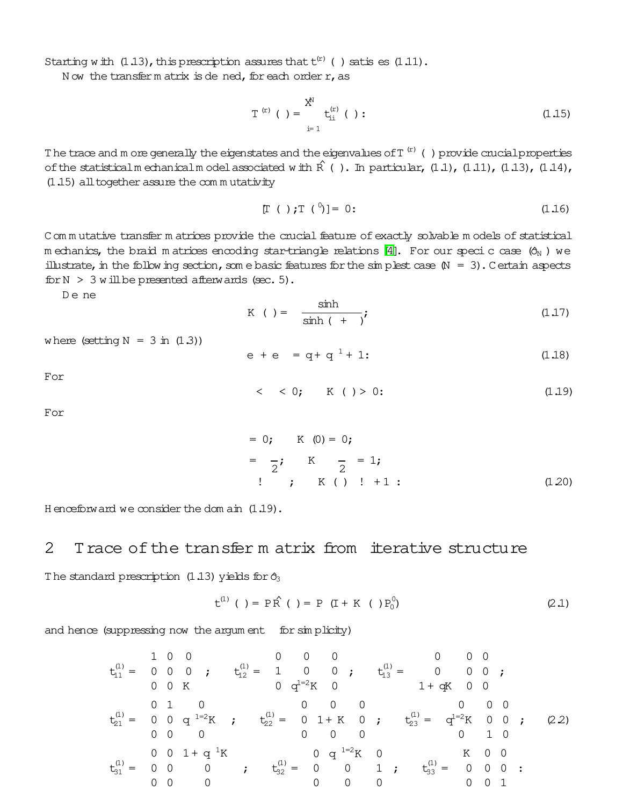Starting with  $(1.13)$ , this prescription assures that  $t^{(r)}$  () satis es  $(1.11)$ .

Now the transferm atrix is dened, for each order r, as

$$
T^{(r)}( ) = \sum_{i=1}^{X^N} t_{ii}^{(r)}( ) :
$$
 (1.15)

The trace and m ore generally the eigenstates and the eigenvalues of  $T^{(r)}$  () provide crucial properties of the statisticalm echanicalm odel associated with  $\hat{R}$  (). In particular, (1.1), (1.11), (1.13), (1.14), (1.15) all together assure the commutativity

$$
[T ( ) ; T ( )^0] = 0:
$$
 (1.16)

C om mutative transfer m atrices provide the crucial feature of exactly solvable m odels of statistical m echanics, the braid m atrices encoding star-triangle relations [4]. For our speci c case  $(\hat{o}_{\text{N}})$  we illustrate, in the following section, some basic features for the simplest case  $(N = 3)$ . Certain aspects for  $N > 3$  will be presented afterwards (sec. 5).

De ne

$$
K \t= \frac{\sinh}{\sinh(t + i)}, \t(1.17)
$$

where (setting  $N = 3$  in  $(1.3)$ )

$$
e + e = q + q^1 + 1
$$
 (1.18)

For

$$
< < 0; \qquad K \quad ( ) > 0: \tag{1.19}
$$

For

$$
= 0; \quad K (0) = 0;
$$
  

$$
= \frac{1}{2}; \quad K \quad \frac{1}{2} = 1;
$$
  

$$
= 1;
$$
  

$$
= 1;
$$
  

$$
= 1;
$$
  

$$
= 1;
$$
  

$$
= 1;
$$
  

$$
= 1;
$$
  

$$
= 1;
$$
  

$$
= 1;
$$
  

$$
= 1;
$$
  

$$
= 1;
$$
  

$$
= 1;
$$
  

$$
= 1;
$$
  

$$
= 1;
$$
  

$$
= 1;
$$
  

$$
= 1;
$$
  

$$
= 1;
$$
  

$$
= 1;
$$
  

$$
= 1;
$$
  

$$
= 1;
$$
  

$$
= 1;
$$
  

$$
= 1;
$$
  

$$
= 1;
$$
  

$$
= 1;
$$
  

$$
= 1;
$$
  

$$
= 1;
$$
  

$$
= 1;
$$
  

$$
= 1;
$$
  

$$
= 1;
$$
  

$$
= 1;
$$
  

$$
= 1;
$$
  

$$
= 1;
$$
  

$$
= 1;
$$
  

$$
= 1;
$$
  

$$
= 1;
$$
  

$$
= 1;
$$
  

$$
= 1;
$$
  

$$
= 1;
$$
  

$$
= 1;
$$
  

$$
= 1;
$$
  

$$
= 1;
$$
  

$$
= 1;
$$
  

$$
= 1;
$$
  

$$
= 1;
$$
  

$$
= 1;
$$
  

$$
= 1;
$$
  

$$
= 1;
$$
  

$$
= 1;
$$
  

$$
= 1;
$$
  

$$
= 1;
$$
  

$$
= 1;
$$
  

$$
= 1;
$$
  

$$
= 1;
$$
  

$$
= 1;
$$
  

$$
= 1;
$$
  

$$
=
$$

H enceforw ard we consider the dom  $\sin(1.19)$ .

#### $\overline{2}$ Trace of the transfer m atrix from iterative structure

The standard prescription (1.13) yields for  $\hat{\sigma}_3$ 

$$
t^{(1)} ( ) = P\hat{R} ( ) = P (I + K ( ) P_0^0)
$$
 (2.1)

and hence (suppressing now the argum ent for simplicity)

$$
t_{11}^{(1)} = \begin{bmatrix} 1 & 0 & 0 \\ 0 & 0 & 0 \\ 0 & 0 & K \end{bmatrix}, \quad t_{12}^{(1)} = \begin{bmatrix} 1 & 0 & 0 \\ 1 & 0 & 0 \\ 0 & 0 & K \end{bmatrix}, \quad t_{21}^{(1)} = \begin{bmatrix} 0 & 0 & 0 \\ 0 & 0 & K \end{bmatrix}, \quad t_{31}^{(1)} = \begin{bmatrix} 0 & 0 & 0 \\ 0 & 0 & 0 \\ 0 & 0 & 0 \end{bmatrix}, \quad t_{41}^{(1)} = \begin{bmatrix} 0 & 1 & 0 \\ 0 & 0 & 0 \\ 0 & 0 & 0 \end{bmatrix}, \quad t_{52}^{(1)} = \begin{bmatrix} 0 & 0 & 0 \\ 0 & 1 + K \\ 0 & 0 & 0 \end{bmatrix}, \quad t_{63}^{(1)} = \begin{bmatrix} 0 & 0 & 0 \\ 0 & 1 & 0 \\ 0 & 0 & 0 \end{bmatrix}, \quad t_{73}^{(1)} = \begin{bmatrix} 0 & 0 & 1 \\ 0 & 0 & 1 \end{bmatrix}, \quad t_{73}^{(1)} = \begin{bmatrix} 0 & 0 & 0 \\ 0 & 0 & 0 \\ 0 & 0 & 0 \end{bmatrix}.
$$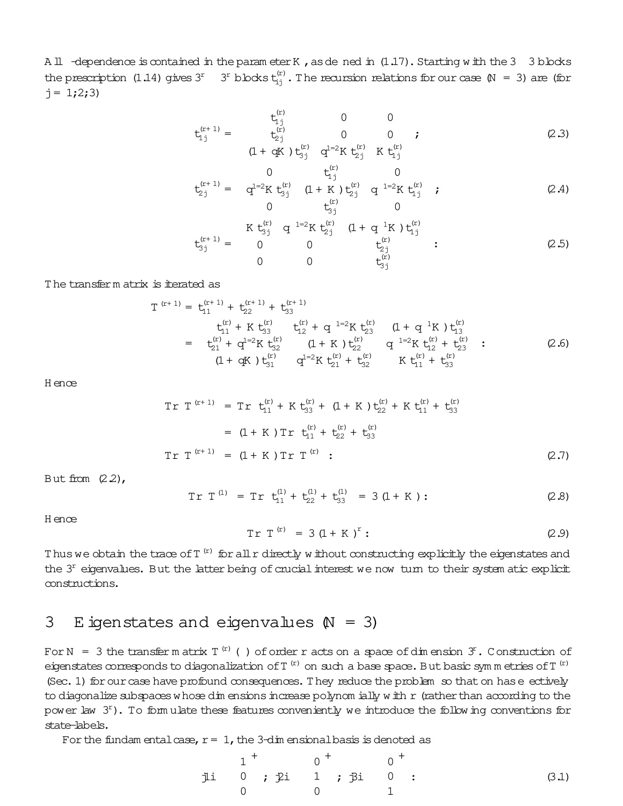All -dependence is contained in the param eter K, as de ned in (1.17). Starting with the 3 3 blocks the prescription (1.14) gives  $3^r$   $3^r$  blocks  $t_{ij}^{(r)}$ . The recursion relations for our case  $\mathbb{N} = 3$ ) are (for  $j = 1;2;3$ 

 $\langle \cdot \rangle$ 

$$
t_{1j}^{(r+1)} = \begin{array}{ccc} t_{1j}^{(r)} & 0 & 0 \\ t_{2j}^{(r)} & 0 & 0 \\ (1 + qK) t_{3j}^{(r)} & q^{1=2}K t_{2j}^{(r)} & K t_{1j}^{(r)} \end{array}
$$
 (2.3)

$$
t_{2j}^{(r+1)} = \begin{array}{ccc} 0 & t_{1j}^{(r)} & 0 \\ q^{1=2}K t_{3j}^{(r)} & (1+K) t_{2j}^{(r)} & q^{1=2}K t_{1j}^{(r)} & ; \\ 0 & t_{3j}^{(r)} & 0 \end{array}
$$
 (2.4)

$$
t_{3j}^{(r+1)} = \begin{array}{ccccc} & K t_{3j}^{(r)} & q^{1=2}K t_{2j}^{(r)} & (1+q^{1}K) t_{1j}^{(r)} & & \\ 0 & 0 & t_{2j}^{(r)} & & \\ 0 & 0 & t_{3j}^{(r)} & & \end{array}
$$
 (2.5)

The transferm atrix is iterated as

$$
T^{(r+1)} = t_{11}^{(r+1)} + t_{22}^{(r+1)} + t_{33}^{(r+1)} t_{11}^{(r)} + K t_{33}^{(r)} \t t_{12}^{(r)} + q^{1=2} K t_{23}^{(r)} \t (1+q^{1}K) t_{13}^{(r)} = t_{21}^{(r)} + q^{1=2} K t_{32}^{(r)} \t (1+K) t_{22}^{(r)} \t q^{1=2} K t_{12}^{(r)} + t_{23}^{(r)} (1+qK) t_{31}^{(r)} \t q^{1=2} K t_{21}^{(r)} + t_{32}^{(r)} \t K t_{11}^{(r)} + t_{33}^{(r)} = K t_{11}^{(r)} + t_{33}^{(r)} (2.6)
$$

H ence

$$
Tr T^{(r+1)} = Tr t_{11}^{(r)} + K t_{33}^{(r)} + (1 + K) t_{22}^{(r)} + K t_{11}^{(r)} + t_{33}^{(r)}
$$
  
\n
$$
= (1 + K) Tr t_{11}^{(r)} + t_{22}^{(r)} + t_{33}^{(r)}
$$
  
\n
$$
Tr T^{(r+1)} = (1 + K) Tr T^{(r)} : \qquad (2.7)
$$

But from  $(2.2)$ ,

$$
Tr T^{(1)} = Tr t_{11}^{(1)} + t_{22}^{(1)} + t_{33}^{(1)} = 3 (1 + K): \qquad (2.8)
$$

H ence

$$
Tr T^{(r)} = 3 (1 + K)^r: \t(2.9)
$$

Thus we obtain the trace of T  $^{\rm (r)}$  for all r directly without constructing explicitly the eigenstates and the  $3<sup>r</sup>$  eigenvalues. But the latter being of crucial interest we now turn to their system atic explicit constructions.

## 3 E igenstates and eigenvalues  $(N = 3)$

For N  $\,=\,$  3 the transferm atrix T  $^{(r)}$  ( ) of order r acts on a space of dimension  $\,3^r$  . Construction of eigenstates corresponds to diagonalization of T  $^{\rm (r)}$  on such a base space. But basic sym m etries of T  $^{\rm (r)}$ (Sec. 1) for our case have profound consequences. They reduce the problem so that on has e ectively to diagonalize subspaces whose dim ensions increase polynom ially with  $r$  (rather than according to the power law  $3<sup>r</sup>$ ). To form ulate these features conveniently we introduce the following conventions for state-labels.

For the fundam entalcase,  $r= 1$ , the 3-dim ensional basis is denoted as

j1i 1 0 0 + ; j2i 0 1 0 + ; j3i 0 0 1 + : (3.1)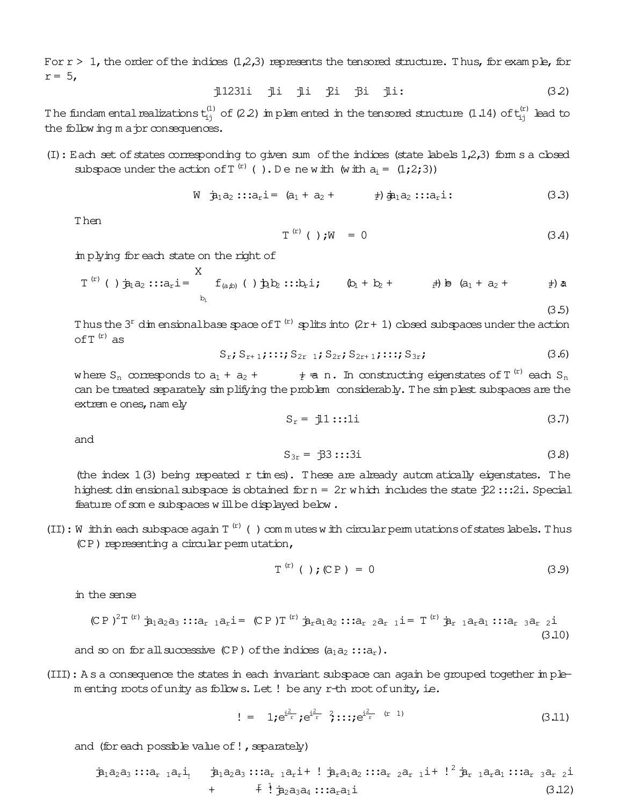For  $r > 1$ , the order of the indices  $(1,2,3)$  represents the tensored structure. Thus, for example, for  $r = 5$ ,

> j1231i ji ji ji ji ji:  $(32)$

The fundam ental realizations  $t_{ij}^{(1)}$  of (2.2) in plem ented in the tensored structure (1.14) of  $t_{ij}^{(r)}$  lead to the following major consequences.

 $(I)$ : Each set of states corresponding to given sum of the indices (state labels  $1,2,3$ ) forms a closed subspace under the action of  $T^{(r)}$  (). Denewith (with  $a_i = (1,2,3)$ )

$$
W \quad \dot{B}_1 a_2 :: a_r i = (a_1 + a_2 + \t b) \dot{B}_1 a_2 :: a_r i : \t (3.3)
$$

Then

$$
\Gamma^{(r)} \quad (\quad ) \; ; \mathbb{W} \quad = \; 0 \tag{3.4}
$$

implying for each state on the right of

$$
T^{(r)}
$$
 ( )  $\dot{p}_1 a_2$  ::: $a_r i =$  $\sum_{b_i}^{X} f_{(a,b)}$  ( )  $\dot{p}_1 b_2$  ::: $b_r i$ ;  $(b_1 + b_2 +$  $\sum_{r} \dot{p}_1 + b_2 +$  $\sum_{r} \dot{p}_2 +$  (3.5)

Thus the  $3<sup>r</sup>$  dim ensional base space of T<sup>(r)</sup> splits into (2r + 1) closed subspaces under the action of  $T^{(r)}$  as

$$
S_{r}; S_{r+1}; \ldots; S_{2r-1}; S_{2r}; S_{2r+1}; \ldots; S_{3r}; \qquad (3.6)
$$

where S<sub>n</sub> corresponds to  $a_1 + a_2 + \cdots + a_n$ . In constructing eigenstates of T<sup>(r)</sup> each S<sub>n</sub> can be treated separately simplifying the problem considerably. The simplest subspaces are the extrem e ones, nam ely

$$
S_r = j1:::1i
$$
 (3.7)

and

$$
S_{3r} = \overrightarrow{B}3:::3i
$$
 (3.8)

(the index  $1(3)$  being repeated r times). These are already automatically eigenstates. The highest dimensional subspace is obtained for  $n = 2r$  which includes the state  $22 :: 2i$ . Special feature of some subspaces will be displayed below.

(II) : W ithin each subspace again  $T^{(r)}$  () commutes with circular permutations of states labels. Thus (CP) representing a circular permutation,

$$
T^{(r)} ( ) ; (CP) = 0 \t\t(3.9)
$$

in the sense

$$
(CP)^{2}T^{(r)} \n\hat{\mathbf{p}}_{1}a_{2}a_{3} \cdots a_{r} a_{r}i = (CP)^{T^{(r)}} \n\hat{\mathbf{p}}_{r}a_{1}a_{2} \cdots a_{r} a_{r} i = T^{(r)} \n\hat{\mathbf{p}}_{r} a_{1}a_{1} \cdots a_{r} a_{r} i
$$
\n(3.10)

and so on for all successive (CP) of the indices  $(a_1a_2::a_r)$ .

(III): A s a consequence the states in each invariant subspace can again be grouped together in plementing roots of unity as follows. Let! be any r-th root of unity, i.e.

$$
!= 1iei2r i2r i2r i2r (r1)
$$
 (3.11)

and (for each possible value of!, separately)

$$
\dot{\mathfrak{B}}_1 a_2 a_3 :: a_{r} 1 a_r i_1 \qquad \dot{\mathfrak{B}}_1 a_2 a_3 :: a_{r} 1 a_r i_1 + ! \dot{\mathfrak{B}}_r a_1 a_2 :: a_{r} 2 a_{r} 1 i_1 + ! \dot{\mathfrak{B}}_r 1 a_r a_1 :: a_{r} 3 a_{r} 2 i
$$
\n
$$
+ \qquad \qquad + \qquad \ddots \qquad + \dot{\mathfrak{B}}_2 a_3 a_4 :: a_{r} a_1 i
$$
\n(3.12)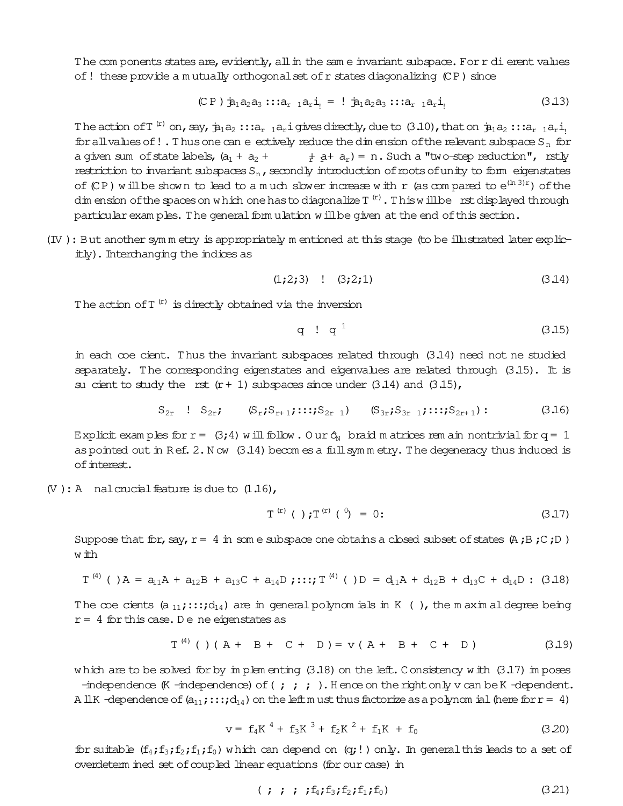The components states are, evidently, all in the same invariant subspace. For r di erent values of! these provide a mutually orthogonal set of r states diagonalizing (CP) since

$$
(CP) \mathbf{\dot{p}}_1 a_2 a_3 \cdots a_{r-1} a_r \mathbf{i}_1 = ! \mathbf{\dot{p}}_1 a_2 a_3 \cdots a_{r-1} a_r \mathbf{i}_1
$$
 (3.13)

The action of T<sup>(r)</sup> on, say,  $\dot{p}_1a_2$ :: $a_r$  <sub>1</sub> $a_r$  i gives directly, due to (3.10), that on  $\dot{p}_1a_2$ :: $a_r$  <sub>1</sub> $a_r$  i<sub>1</sub> for all values of ! . Thus one can e ectively reduce the dim ension of the relevant subspace S<sub>n</sub> for a given sum of state labels,  $(a_1 + a_2 + \t + a_r) = n$ . Such a "two-step reduction", rstly restriction to invariant subspaces  $S_n$ , secondly introduction of roots of unity to form eigenstates of (CP) will be shown to lead to a much slower increase with r (as compared to  $e^{(\ln 3)r}$ ) of the dim ension of the spaces on which one has to diagonalize  $T^{(r)}$ . This will be rst displayed through particular exam ples. The general form ulation will be given at the end of this section.

(IV): But another symm etry is appropriately m entioned at this stage (to be illustrated later explicitly). Interchanging the indices as

$$
(1;2;3) \quad ! \quad (3;2;1) \tag{3.14}
$$

The action of  $T^{(r)}$  is directly obtained via the inversion

$$
q \cdot q^1 \tag{3.15}
$$

in each coe cient. Thus the invariant subspaces related through (3.14) need not ne studied separately. The corresponding eigenstates and eigenvalues are related through  $(3.15)$ . It is su cient to study the rst  $(r + 1)$  subspaces since under  $(3.14)$  and  $(3.15)$ ,

$$
S_{2r} \quad ! \quad S_{2r}; \qquad (S_r; S_{r+1}; \ldots; S_{2r-1}) \qquad (S_{3r}; S_{3r-1}; \ldots; S_{2r+1}) : \qquad (3.16)
$$

Explicit examples for  $r = (3, 4)$  will follow. Our  $\phi_N$  braid m atrices rem ain nontrivial for  $q = 1$ as pointed out in Ref. 2. Now  $(3.14)$  becomes a full symm etry. The degeneracy thus induced is of interest.

 $(V): A$  nalcrucial feature is due to  $(1.16)$ ,

$$
T^{(r)} ( ) \mathbf{;} T^{(r)} ( ) = 0: \qquad (3.17)
$$

Suppose that for, say,  $r = 4$  in some subspace one obtains a closed subset of states  $(A, B, C, D)$ w ith

$$
T^{(4)}
$$
 ( ) $A = a_{11}A + a_{12}B + a_{13}C + a_{14}D$ ;  $T^{(4)}$  ( ) $D = d_{11}A + d_{12}B + d_{13}C + d_{14}D$ ; (3.18)

The coe cients (a<sub>11</sub>;::;d<sub>14</sub>) are in general polynom ials in K (), the m axim al degree being  $r = 4$  for this case. De ne eigenstates as

$$
T^{(4)}
$$
 () (A + B + C + D) = v (A + B + C + D) (3.19)

which are to be solved for by in plem enting  $(3.18)$  on the left. Consistency with  $(3.17)$  in poses

-independence  $(K$ -independence) of  $(j; j; j)$ . Hence on the right only v can be K-dependent. A IIK -dependence of  $(a_{11}; \ldots; d_{14})$  on the left must thus factorize as a polynomial (here for  $r = 4$ )

$$
v = f_4 K^4 + f_3 K^3 + f_2 K^2 + f_1 K + f_0 \tag{3.20}
$$

for suitable  $(f_4; f_3; f_2; f_1; f_0)$  which can depend on  $(q;!)$  only. In general this leads to a set of overdeterm ined set of coupled linear equations (for our case) in

$$
(+ ; ; ; f_4; f_3; f_2; f_1; f_0) \tag{3.21}
$$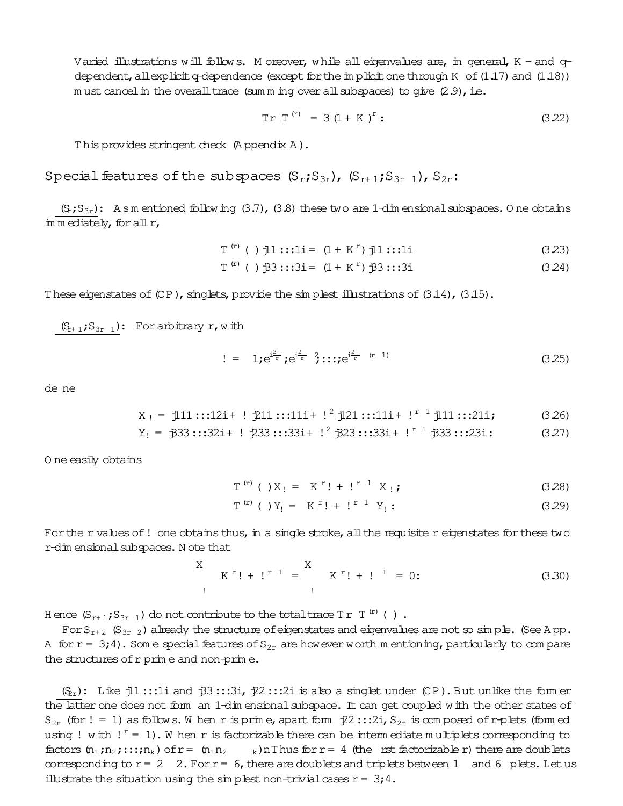Varied illustrations will follows. Moreover, while all eigenvalues are, in general,  $K$  - and qdependent, allexplicit q-dependence (except for the in plicit one through K of  $(1.17)$  and  $(1.18)$ ) m ust cancel in the overall trace (sum m ing over all subspaces) to give  $(2.9)$ , i.e.

$$
Tr T^{(r)} = 3 (1 + K)^r: \qquad (3.22)
$$

This provides stringent check (Appendix A).

Special features of the subspaces  $(S_r; S_{3r})$ ,  $(S_{r+1}; S_{3r-1})$ ,  $S_{2r}$ :

 $(S_r; S_{3r})$ : As m entioned following (3.7), (3.8) these two are 1-dim ensional subspaces. One obtains in mediately, for all r,

$$
\Gamma^{(r)} \quad (\ ) \quad \text{il} \quad :: : \text{li} = (1 + K^r) \quad \text{il} \quad :: : \text{li} \tag{3.23}
$$

$$
T^{(r)} \t( ) \t33 :: 3i = (1 + K^r) \t33 :: 3i \t(3.24)
$$

These eigenstates of  $(CP)$ , singlets, provide the simplest illustrations of  $(3.14)$ ,  $(3.15)$ .

 $(S_{r+1};S_{3r-1})$ : For arbitrary r, with

$$
!= 1; e^{\frac{i^2}{r}}; e^{\frac{i^2}{r}} \hat{i} : : :; e^{\frac{i^2}{r} (r-1)}
$$
 (3.25)

de ne

$$
X_i = 111:::12i + 1211:::11i + 1^2 121:::11i + 1^r 111:::21i;
$$
 (3.26)

$$
Y_1 = \frac{333}::32i + 1 \frac{233}::33i + 1^2 \frac{323}::33i + 1^2 \frac{333}::23i : 23i : 327)
$$

O ne easily obtains

$$
T^{(r)} ( ) X_1 = K^{r}! + l^{r} X_1;
$$
 (3.28)

$$
T^{(r)} ( ) Y_! = K^{r}! + l^{r} Y_! : \qquad (3.29)
$$

For the r values of ! one obtains thus, in a single stroke, all the requisite r eigenstates for these two r-dim ensional subspaces. Note that

$$
K^{r}! + i^{r-1} = \nK^{r}! + i^{r-1} = 0;
$$
\n(3.30)

Hence  $(S_{r+1};S_{3r-1})$  do not contribute to the total trace  $Tr T^{(r)}$  ().

For  $S_{r+2}$  ( $S_{3r-2}$ ) already the structure of eigenstates and eigenvalues are not so simple. (See App. A for  $r = 3,4$ ). Some special features of  $S_{2r}$  are however worth mentioning, particularly to compare the structures of r prime and non-prime.

 $(S<sub>x</sub>)$ : Like j1::1i and j3:::3i, j2::2i is also a singlet under (CP). But unlike the form er the latter one does not form an 1-dim ensional subspace. It can get coupled with the other states of  $S_{2r}$  (for ! = 1) as follows. When r is prime, apart form  $22$  :::2i,  $S_{2r}$  is composed of r-plets (formed using ! with !  $r = 1$ ). When r is factorizable there can be intermediate multiplets corresponding to factors  $(n_1; n_2; \ldots; n_k)$  of  $r = (n_1n_2 \ldots k)nT$  hus for  $r = 4$  (the rst factorizable r) there are doublets corresponding to  $r = 2$  2. For  $r = 6$ , there are doublets and triplets between 1 and 6 plets. Let us illustrate the situation using the simplest non-trivial cases  $r = 3; 4$ .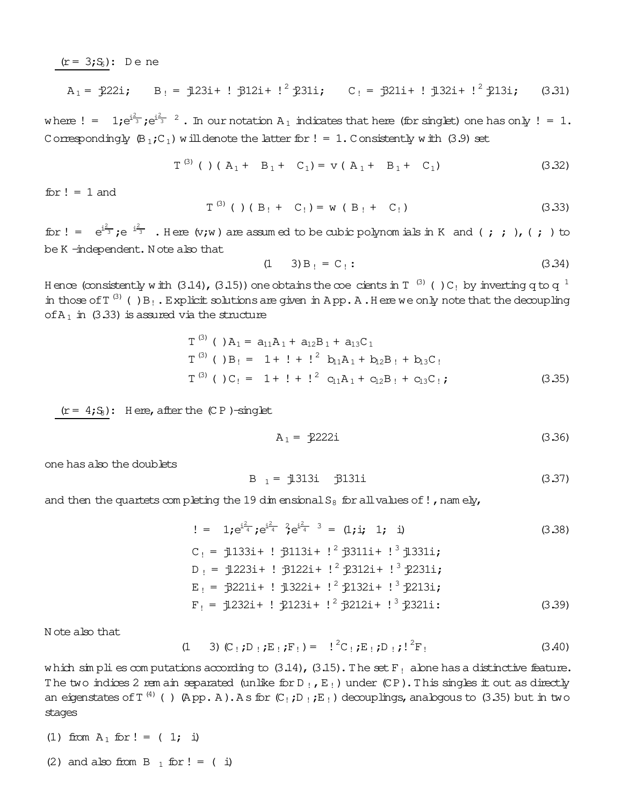$(r = 3; S_6)$ : Dene

$$
A_1 = \frac{1}{222i}
$$
,  $B_1 = \frac{1}{23i} + \frac{1}{231i} + \frac{1}{231i}$ ,  $C_1 = \frac{1}{221i} + \frac{1}{232i} + \frac{1}{213i}$ , (3.31)

where  $!= 1$ ; $e^{i\frac{2}{3}}$ ; $e^{i\frac{2}{3} - 2}$ . In our notation  $A_1$  indicates that here (for singlet) one has only  $!= 1$ . Correspondingly  $(\mathbb{B}_1; \mathbb{C}_1)$  will denote the latter for  $! = 1$ . Consistently with (3.9) set

$$
T^{(3)}
$$
 ( ) (  $A_1 + B_1 + C_1$ ) =  $v$  (  $A_1 + B_1 + C_1$ ) (3.32)

for  $! = 1$  and

$$
T^{(3)}
$$
 ( ) (  $B_1 + C_1$ ) = w (  $B_1 + C_1$ ) (3.33)

for  $!=$   $e^{i\frac{2}{3}}$ ;  $e^{-i\frac{2}{3}}$  . Here  $(v,w)$  are assumed to be cubic polynomials in K and (;; ), (;) to be K-independent. Note also that

$$
(1 \t 3) B_{\perp} = C_{\perp} : \t (3.34)
$$

Hence (consistently with (3.14), (3.15)) one obtains the coe cients in T<sup>(3)</sup> ()C<sub>1</sub> by inverting q to q<sup>1</sup> in those of  $T^{(3)}$  () B<sub>1</sub>. Explicit solutions are given in App. A. Here we only note that the decoupling of  $A_1$  in (3.33) is assured via the structure

$$
T^{(3)} ( ) A1 = a11A1 + a12B1 + a13C1\nT(3) ( ) B1 = 1 + ! + !2 b11A1 + b12B1 + b13C1\nT(3) ( ) C1 = 1 + ! + !2 c11A1 + c12B1 + c13C1; (3.35)
$$

 $(r = 4; S_8)$ : Here, after the (CP)-singlet

$$
A_1 = \frac{1}{2}222i \tag{3.36}
$$

one has also the doublets

$$
B_1 = j1313i j131i
$$
 (3.37)

and then the quartets completing the 19 dim ensional  $S_8$  for all values of !, namely,

$$
!= 1; e^{i\frac{2}{4}}; e^{i\frac{2}{4}}; e^{i\frac{2}{4}} = (1; i; 1; i)
$$
\n
$$
C_! = j133i + ! j113i + !^2 j311i + !^3 j1331i;
$$
\n
$$
D_! = j1223i + ! j122i + !^2 j212i + !^3 j231i;
$$
\n
$$
E_! = j221i + ! j132i + !^2 j132i + !^3 j213i;
$$
\n
$$
F_! = j1232i + ! j123i + !^2 j212i + !^3 j231i;
$$
\n(3.39)

N ote also that

$$
(1 \t 3) (C_1; D_1; E_1; F_1) = 1^2 C_1; E_1; D_1; 1^2 F_1
$$
\n(3.40)

which simplies computations according to  $(3.14)$ ,  $(3.15)$ . The set F<sub>!</sub> alone has a distinctive feature. The two indices 2 rem ain separated (unlike for  $D_i$ ,  $E_i$ ) under (CP). This singles it out as directly an eigenstates of  $T^{(4)}$  () (App. A). As for  $(C_1;D_1;E_1)$  decouplings, analogous to (3.35) but in two stages

- (1) from  $A_1$  for ! = ( 1; i)
- (2) and also from B  $_1$  for ! = (i)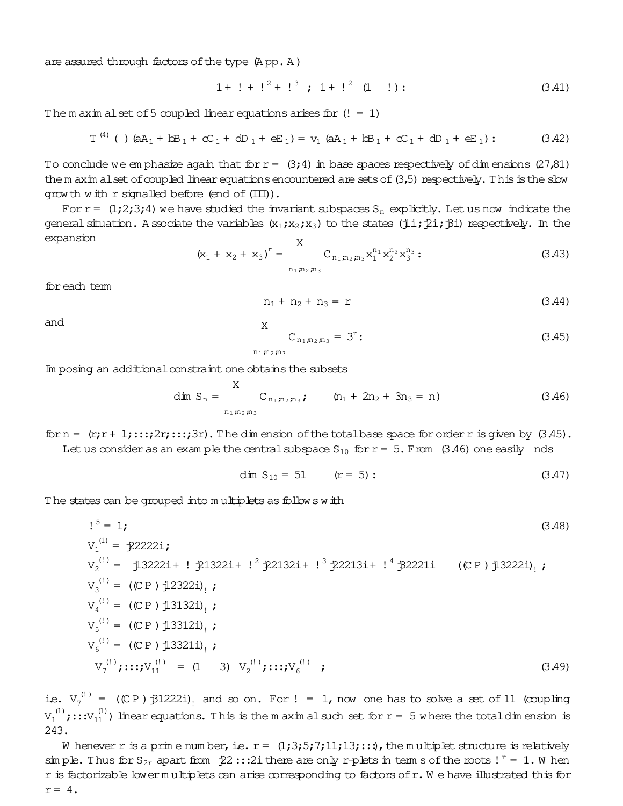are assured through factors of the type (App. A)

$$
1 + 1 + 12 + 13 ; 1 + 12 (1 !) : \t(3.41)
$$

The m axim alset of 5 coupled linear equations arises for  $(!= 1)$ 

$$
T^{(4)} \text{ } (\text{ }) \text{ } (aA_1 + bB_1 + cC_1 + dD_1 + eE_1) = v_1 \text{ } (aA_1 + bB_1 + cC_1 + dD_1 + eE_1) : \qquad (3.42)
$$

To conclude we emphasize again that for  $r = (3, 4)$  in base spaces respectively of dimensions (27,81) the m axim alset of coupled linear equations encountered are sets of  $(3,5)$  respectively. This is the slow grow th with  $r$  signalled before (end of  $(III)$ ).

For  $r = (1,2,3,4)$  we have studied the invariant subspaces  $S_n$  explicitly. Let us now indicate the general situation. A ssociate the variables  $(x_1; x_2; x_3)$  to the states (jli;  $\hat{\chi}$ i;  $\hat{\chi}$ i) respectively. In the expansion  $\overline{z}$ 

$$
(\mathbf{x}_1 + \mathbf{x}_2 + \mathbf{x}_3)^{\mathrm{T}} = \sum_{n_1, n_2, n_3}^{\mathrm{A}} \mathbf{C}_{n_1, n_2, n_3} \mathbf{x}_1^{n_1} \mathbf{x}_2^{n_2} \mathbf{x}_3^{n_3} ; \qquad (3.43)
$$

for each tem

$$
n_1 + n_2 + n_3 = r \tag{3.44}
$$

and

$$
C_{n_1,n_2,n_3} = 3^r: \t\t(3.45)
$$

 $n_1, n_2, n_3$ 

X

Im posing an additional constraint one obtains the subsets

$$
\dim S_n = \sum_{n_1, n_2, n_3}^{X} C_{n_1, n_2, n_3}; \qquad (n_1 + 2n_2 + 3n_3 = n) \qquad (3.46)
$$

for  $n = (r; r + 1; \ldots; 2r; \ldots; 3r)$ . The dimension of the total base space for order r is given by  $(3.45)$ . Let us consider as an example the central subspace  $S_{10}$  for  $r = 5$ . From (3.46) one easily nds

$$
\dim S_{10} = 51 \qquad (r = 5): \qquad (3.47)
$$

The states can be grouped into multiplets as follows with

$$
V_1^{(1)} = \frac{1}{222221};
$$
\n
$$
V_2^{(1)} = \frac{1}{232221} + \frac{1}{213221} + \frac{1}{221321} + \frac{1}{3222131} + \frac{1}{1} \frac{1}{222211} + \frac{1}{322211};
$$
\n
$$
V_3^{(1)} = (CP) \frac{1}{23221},
$$
\n
$$
V_4^{(1)} = (CP) \frac{1}{23221},
$$
\n
$$
V_5^{(1)} = (CP) \frac{1}{23211},
$$
\n
$$
V_5^{(1)} = (CP) \frac{1}{23211},
$$
\n
$$
V_6^{(1)} = (CP) \frac{1}{23211},
$$
\n
$$
V_7^{(1)}; \dots; V_{11}^{(1)} = (1 \ 3) \ V_2^{(1)}; \dots; V_6^{(1)};
$$
\n(3.49)

ie.  $V_7^{(1)} = (CP) \frac{1}{2}$  (CP)  $\frac{1}{2}$  2221), and so on. For ! = 1, now one has to solve a set of 11 (coupling  $V_1^{(1)}$ ;::: $V_{11}^{(1)}$ ) linear equations. This is the m axim al such set for  $r = 5$  where the total dimension is 243.

W henever r is a prime number, i.e.  $r = (1, 3, 5, 7, 11, 13, ...)$ , the multiplet structure is relatively simple. Thus for  $S_{2r}$  apart from  $\ddagger 2$  ::: 2i there are only r-plets in term s of the roots!  $r = 1$ . When r is factorizable lower multiplets can arise corresponding to factors of r. We have illustrated this for  $r = 4$ .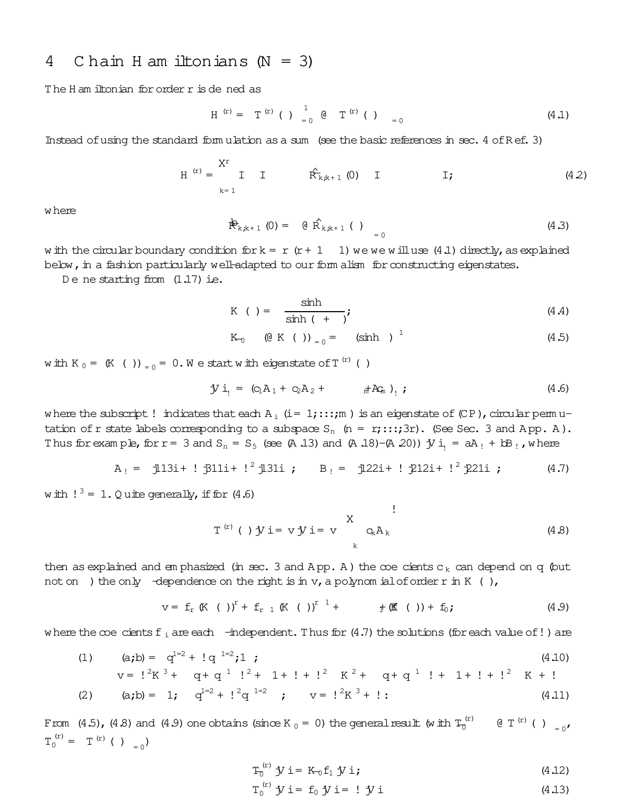#### C hain H am iltonians  $(N = 3)$ 4

The H am iltonian for order r is de ned as

$$
H^{(r)} = T^{(r)} ( ) 1 1 0 T^{(r)} ( ) 0 0 = 0
$$
 (4.1)

Instead of using the standard form ulation as a sum (see the basic references in sec. 4 of Ref. 3)

$$
H^{(r)} = \n\begin{cases}\nX^r \\
I \\
k=1\n\end{cases}
$$
 T  $\hat{R}_{k,k+1}^{(0)}(0)$  T  $I$ ; (4.2)

where

$$
\mathbb{P}_{k,k+1} (0) = \theta \hat{R}_{k,k+1} (1) = 0 \tag{4.3}
$$

w ith the circular boundary condition  $f{b}r{k} = r(r + 1)$  we we will use (4.1) directly, as explained below, in a fashion particularly well-adapted to our form alism for constructing eigenstates.

De ne starting from  $(1.17)$  ie.

$$
K \t= \frac{\sinh}{\sinh (+)}, \t(4.4)
$$

$$
K_{0} \t\t (0 K ())_{0} = (sinh )^{1} \t\t (4.5)
$$

with K  $_0 = (K ())_{0} = 0$ . We start with eigenstate of T<sup>(r)</sup> ()

$$
J' i_1 = (c_1 A_1 + c_2 A_2 + \pi^+ A_{m}^c)_1 ; \qquad (4.6)
$$

where the subscript! indicates that each  $A_i$  (i= 1;:::; m) is an eigenstate of (CP), circular permutation of r state labels corresponding to a subspace  $S_n$  (n = r;:::;3r). (See Sec. 3 and App. A). Thus for example, for  $r = 3$  and  $S_n = S_5$  (see (A.13) and (A.18)-(A.20)) j/ i<sub>1</sub> = aA<sub>1</sub> + bB<sub>1</sub>, where

$$
A_! = 113i + 1311i + 1^2 131i
$$
;  $B_! = 122i + 1212i + 1^2 21i$ ; (4.7)

w ith  $!^3 = 1$ . Q uite generally, if for (4.6)

$$
T^{(r)}()
$$
 jy i = v jy i = v  $\left.\begin{matrix} X \\ Q_k A_k \end{matrix}\right]$  (4.8)

then as explained and emphasized (in sec. 3 and App. A) the  $\infty$ e cients c<sub>k</sub> can depend on q (but not on ) the only -dependence on the right is in  $v$ , a polynom ial of order r in  $K$  (),

where the coe cients  $f_i$  are each  $-$ independent. Thus for (4.7) the solutions (for each value of!) are

(1) (a,b) = 
$$
q^{1-2} + 1 q^{1-2} i 1
$$
 ; (4.10)

$$
v = 12K3 + q + q1l2 + 1 + l + l2K2 + q + q1l + 1 + l + l2K + l
$$

(2) (a,b) = 1; 
$$
q^{1}z^2 + 1^2q^{1} = z
$$
;  $v = 1^2K^3 + 1$ : (4.11)

From (4.5), (4.8) and (4.9) one obtains (since K  $_0$  = 0) the general result (with  $T_0^{(r)}$  $[0 T^{(r)} ( ) ] = 0$  $T_0^{(r)} = T^{(r)}$  ( )  $_{-0}$ )

$$
T_0^{(r)} \mathbf{y} \mathbf{i} = \mathbf{K}_0 \mathbf{f}_1 \mathbf{y} \mathbf{i}; \qquad (4.12)
$$

$$
\Gamma_0^{(r)} \mathbf{y} \mathbf{i} = \mathbf{f}_0 \mathbf{y} \mathbf{i} = ! \mathbf{y} \mathbf{i} \tag{4.13}
$$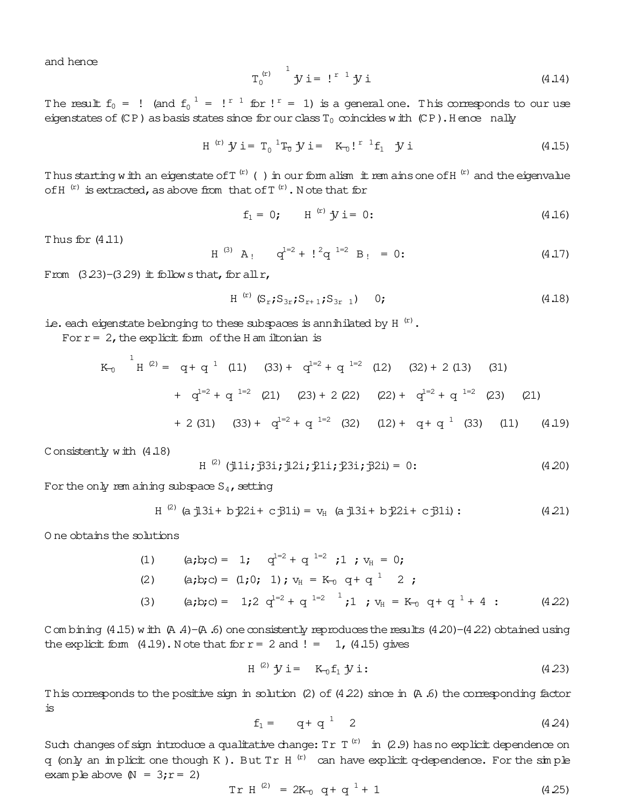and hence

$$
T_0^{(r)} \stackrel{1}{\rightarrow} jj = !^{r-1}jj j
$$
 (4.14)

The result  $f_0 =$  ! (and  $f_0^{-1} =$  !  $r^1$  for !  $r = 1$ ) is a general one. This corresponds to our use eigenstates of  $(CP)$  as basis states since for our class  $T_0$  coincides with  $(CP)$ . Hence nally

$$
H^{(r)} \mathbf{y} i = T_0^{-1} T_0 \mathbf{y} i = K_0!^{r-1} f_1 \mathbf{y} i
$$
 (4.15)

Thus starting with an eigenstate of  $T^{(r)}$  () in our form alism it rem ains one of  $H^{(r)}$  and the eigenvalue of H<sup>(r)</sup> is extracted, as above from that of T<sup>(r)</sup>. Note that for

$$
f_1 = 0;
$$
  $H^{(r)} \mathcal{Y} i = 0;$  (4.16)

Thus for  $(4.11)$ 

$$
H^{(3)}
$$
 A<sub>1</sub>  $q^{1=2} + 1^2 q^{1=2} B_1 = 0$ : (4.17)

From  $(3.23)$ - $(3.29)$  it follows that, for all r,

$$
H^{(r)}(S_r; S_{3r}; S_{r+1}; S_{3r-1})
$$
 0; (4.18)

i.e. each eigenstate belonging to these subspaces is annihilated by  $H^{(r)}$ .

For  $r = 2$ , the explicit form of the H am iltonian is

$$
K_{0} \quad {}^{1}H^{(2)} = q + q^{1} (11) (33) + q^{1=2} + q^{1=2} (12) (32) + 2 (13) (31)
$$
  
+  $q^{1=2} + q^{1=2} (21) (23) + 2 (22) (22) + q^{1=2} + q^{1=2} (23) (21)$   
+ 2 (31) (33) +  $q^{1=2} + q^{1=2} (32) (12) + q + q^{1} (33) (11) (4.19)$ 

Consistently with  $(4.18)$ 

$$
H^{(2)} (\text{j11}; \text{j31}; \text{j21}; \text{211}; \text{231}; \text{j21}) = 0;
$$
 (4.20)

For the only rem aining subspace  $S_4$ , setting

$$
H^{(2)}
$$
 (a j13i + b j22i + c j31i) =  $v_{H}$  (a j13i + b j22i + c j31i): (4.21)

O ne obtains the solutions

(1) 
$$
(a,b;c) = 1;
$$
  $q^{1-2} + q^{1-2} ; 1 ; v_H = 0;$   
\n(2)  $(a,b;c) = (1,0; 1); v_H = K_0 q + q^{1} 2 ;$   
\n(3)  $(a,b;c) = 1; 2 q^{1-2} + q^{1-2} ; 1 ; v_H = K_0 q + q^{1} + 4 ;$  (4.22)

C om bining (4.15) with (A.4)-(A.6) one consistently reproduces the results (4.20)-(4.22) obtained using the explicit form  $(4.19)$ . Note that for  $r = 2$  and  $! = 1$ ,  $(4.15)$  gives

$$
H^{(2)} \mathbf{y} i = K_0 f_1 \mathbf{y} i: \qquad (4.23)
$$

This corresponds to the positive sign in solution (2) of  $(4.22)$  since in  $(A.6)$  the corresponding factor is

$$
f_1 = \qquad q + q^{-1} \quad 2 \tag{4.24}
$$

Such changes of sign introduce a qualitative change:  $Tr T^{(r)}$  in (2.9) has no explicit dependence on q (only an implicit one though K). But Tr H<sup>(r)</sup> can have explicit q-dependence. For the simple example above  $(N = 3; r = 2)$ 

$$
Tr H^{(2)} = 2K_0 q + q^1 + 1
$$
 (4.25)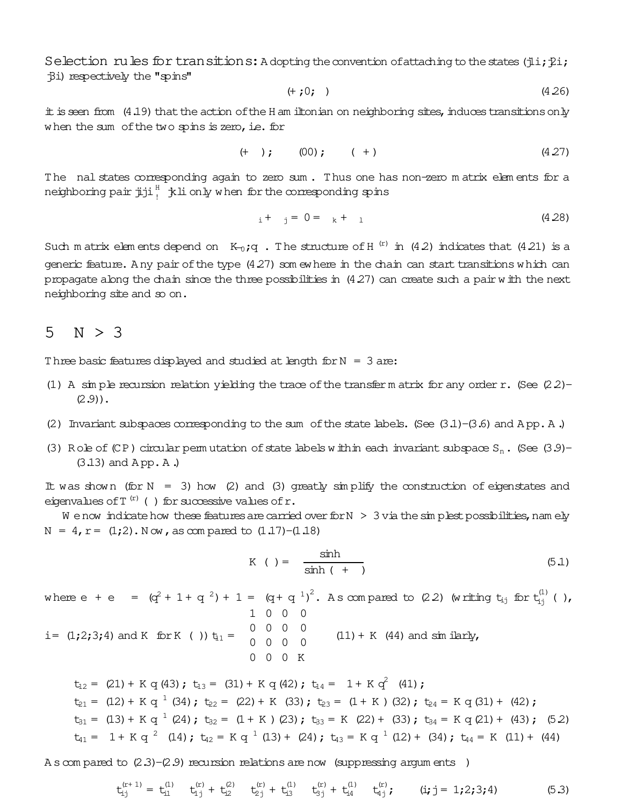Selection rules for transitions: A dopting the convention of attaching to the states (ili; il; Bi) respectively the "spins"

$$
(+;0;)(4.26)
$$

it is seen from (4.19) that the action of the H am iltonian on neighboring sites, induces transitions only when the sum of the two spins is zero, i.e. for

$$
(+ ) ; \t (00) ; \t (+) \t (4.27)
$$

The nal states corresponding again to zero sum. Thus one has non-zero matrix elements for a neighboring pair  $j$ ji  $j^H$ ,  $k$ li only when for the corresponding spins

$$
i + j = 0 = k + 1 \tag{4.28}
$$

Such matrix elements depend on  $K_0$ ; q. The structure of H<sup>(r)</sup> in (4.2) indicates that (4.21) is a generic feature. Any pair of the type (4.27) som ewhere in the chain can start transitions which can propagate along the chain since the three possibilities in  $(4.27)$  can create such a pair with the next neighboring site and so on.

#### $N > 3$ 5

Three basic features displayed and studied at length for  $N = 3$  are:

- (1) A simple recursion relation yielding the trace of the transfer m atrix for any order r. (See  $(22)$ - $(2.9)$ .
- (2) Invariant subspaces corresponding to the sum of the state labels. (See  $(3.1)$ - $(3.6)$  and App. A.)
- (3) Role of (CP) circular permutation of state labels within each invariant subspace  $S_n$ . (See (3.9)- $(3.13)$  and App. A.

It was shown (for  $N = 3$ ) how (2) and (3) greatly simplify the construction of eigenstates and eigenvalues of  $T^{(r)}$  () for successive values of r.

We now indicate how these features are carried over for  $N > 3$  via the simplest possibilities, namely  $N = 4$ ,  $r = (1,2)$ . Now, as compared to  $(1,17)$ - $(1,18)$ 

$$
K \t= \frac{\sinh}{\sinh (+)}
$$
 (5.1)

where  $e + e = (q^2 + 1 + q^2) + 1 = (q + q^{-1})^2$ . As compared to (2.2) (writing  $t_{ij}$  for  $t_{ij}^{(1)}$  (), 1 0 0 0 i =  $(1;2;3;4)$  and K for K ())  $t_{11} = \begin{pmatrix} 0 & 0 & 0 & 0 \\ 0 & 0 & 0 & 0 \\ 0 & 0 & 0 & 0 \end{pmatrix}$  (11) + K (44) and simularly,  $0$   $0$   $0$   $K$ 

 $t_{12} = (21) + K q (43)$ ;  $t_{13} = (31) + K q (42)$ ;  $t_{14} = 1 + K q^2 (41)$ ;  $t_{21} = (12) + K q^{-1} (34)$ ;  $t_{22} = (22) + K (33)$ ;  $t_{23} = (1 + K) (32)$ ;  $t_{24} = K q (31) + (42)$ ;  $t_{31} = (13) + K q^{-1} (24)$ ;  $t_{32} = (1 + K) (23)$ ;  $t_{33} = K (22) + (33)$ ;  $t_{34} = K q (21) + (43)$ ; (52)  $t_{41} = 1 + K q^2$  (14);  $t_{42} = K q^1$  (13) + (24);  $t_{43} = K q^1$  (12) + (34);  $t_{44} = K$  (11) + (44)

A s com pared to  $(2.3)$ - $(2.9)$  recursion relations are now (suppressing argum ents)

$$
t_{ij}^{(r+1)} = t_{i1}^{(1)} \t t_{1j}^{(r)} + t_{i2}^{(2)} \t t_{2j}^{(r)} + t_{i3}^{(1)} \t t_{3j}^{(r)} + t_{i4}^{(1)} \t t_{4j}^{(r)}; \t (i,j = 1,2;3;4)
$$
 (5.3)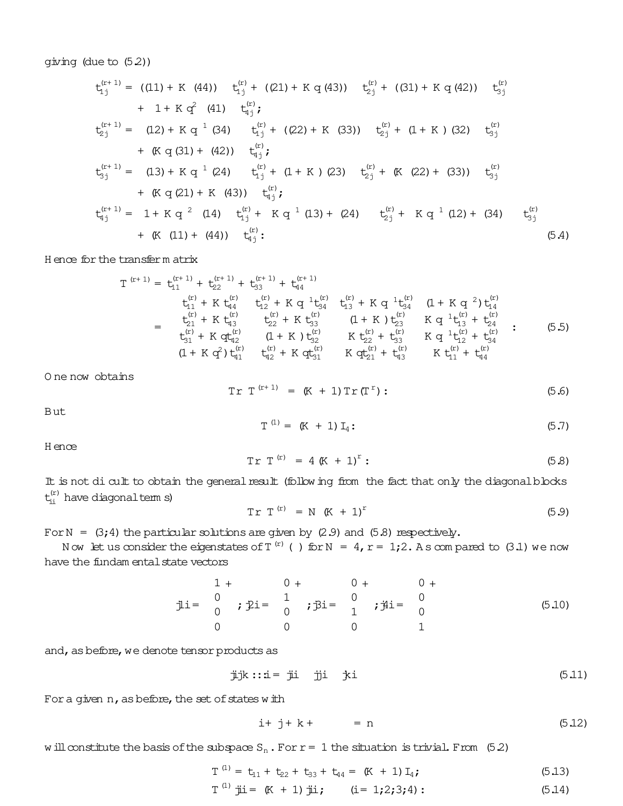giving (due to (5.2))

$$
t_{1j}^{(r+1)} = ((11) + K (44)) \t t_{1j}^{(r)} + ((21) + K q (43)) \t t_{2j}^{(r)} + ((31) + K q (42)) \t t_{3j}^{(r)}
$$
  
+ 1 + K q<sup>2</sup> (41)  $t_{4j}^{(r)}$ ;  

$$
t_{2j}^{(r+1)} = (12) + K q-1 (34) \t t_{1j}^{(r)} + ((22) + K (33)) \t t_{2j}^{(r)} + (1 + K) (32) \t t_{3j}^{(r)}
$$
  
+ (K q (31) + (42))  $t_{4j}^{(r)}$ ;  

$$
t_{3j}^{(r+1)} = (13) + K q-1 (24) \t t_{1j}^{(r)} + (1 + K) (23) \t t_{2j}^{(r)} + (K (22) + (33)) \t t_{3j}^{(r)}
$$
  
+ (K q (21) + K (43))  $t_{4j}^{(r)}$ ;  

$$
t_{4j}^{(r+1)} = 1 + K q-2 (14) \t t_{1j}^{(r)} + K q-1 (13) + (24) \t t_{2j}^{(r)} + K q-1 (12) + (34) \t t_{3j}^{(r)}
$$
  
+ (K (11) + (44))  $t_{4j}^{(r)}$ ;  
(5.4)

H ence forthe transferm atrix

$$
T^{(r+1)} = t_{11}^{(r+1)} + t_{22}^{(r+1)} + t_{33}^{(r+1)} + t_{44}^{(r+1)} t_{11}^{(r)} + K t_{44}^{(r)} - t_{12}^{(r)} + K q^{-1} t_{34}^{(r)} - t_{13}^{(r)} + K q^{-1} t_{34}^{(r)} - (1 + K q^{-2}) t_{14}^{(r)} = t_{21}^{(r)} + K t_{43}^{(r)} - t_{22}^{(r)} + K t_{33}^{(r)} - (1 + K) t_{23}^{(r)} - K q^{-1} t_{13}^{(r)} + t_{24}^{(r)} t_{31}^{(r)} + K q t_{42}^{(r)} - (1 + K) t_{32}^{(r)} - K t_{22}^{(r)} + t_{33}^{(r)} - K q^{-1} t_{12}^{(r)} + t_{34}^{(r)} (1 + K q^{2}) t_{41}^{(r)} - t_{42}^{(r)} + K q t_{31}^{(r)} - K q t_{21}^{(r)} + t_{43}^{(r)} - K t_{11}^{(r)} + t_{44}^{(r)} \qquad (5.5)
$$

O ne now obtains

$$
Tr T^{(r+1)} = (K + 1) Tr (T^{r}) : \qquad (5.6)
$$

But

$$
T^{(1)} = (K + 1) I_4:
$$
 (5.7)

H ence

$$
Tr T^{(r)} = 4 (K + 1)^r: \t(5.8)
$$

It is not di cult to obtain the general result (following from the fact that only the diagonal blocks  $t_{\rm ii}^{({\rm r})}$  have diagonalterm s)

$$
Tr T^{(r)} = N (K + 1)^r
$$
 (5.9)

For N =  $(3; 4)$  the particular solutions are given by  $(2.9)$  and  $(5.8)$  respectively.

Now let us consider the eigenstates of T  $^{\rm (r)}$  ( ) for N = 4, r = 1;2. As compared to (3.1) we now have the fundam ental state vectors

$$
\begin{array}{ccc}\n1+ & 0+ & 0+ & 0+ \\
\frac{1}{2}i = \begin{array}{ccc} 0 \\ 0 \end{array} & \text{; } \hat{y}i = \begin{array}{ccc} 0+ & 0+ & 0+ \\
\frac{1}{2}i = \begin{array}{ccc} 0 \\ 0 \end{array} & \text{; } \hat{y}i = \begin{array}{ccc} 0 \\ 0 \end{array} & \text{; } \hat{y}i = \begin{array}{ccc} 0 \\ 0 \end{array}\n\end{array} \tag{5.10}
$$

and, as before, we denote tensor products as

$$
\ddot{\mu}jk :: \dot{\mu} = \ddot{\mu} i \qquad \dot{\mu} i \qquad \dot{\mu} i
$$

For a given  $n$ , as before, the set of states with

$$
i+j+k+ = n \tag{5.12}
$$

will constitute the basis of the subspace  $S_n$ . For  $r = 1$  the situation is trivial. From (5.2)

$$
T^{(1)} = t_{11} + t_{22} + t_{33} + t_{44} = (K + 1) I_4;
$$
 (5.13)

$$
T^{(1)}
$$
 ji = (K + 1) ji; (i = 1;2;3;4): (5.14)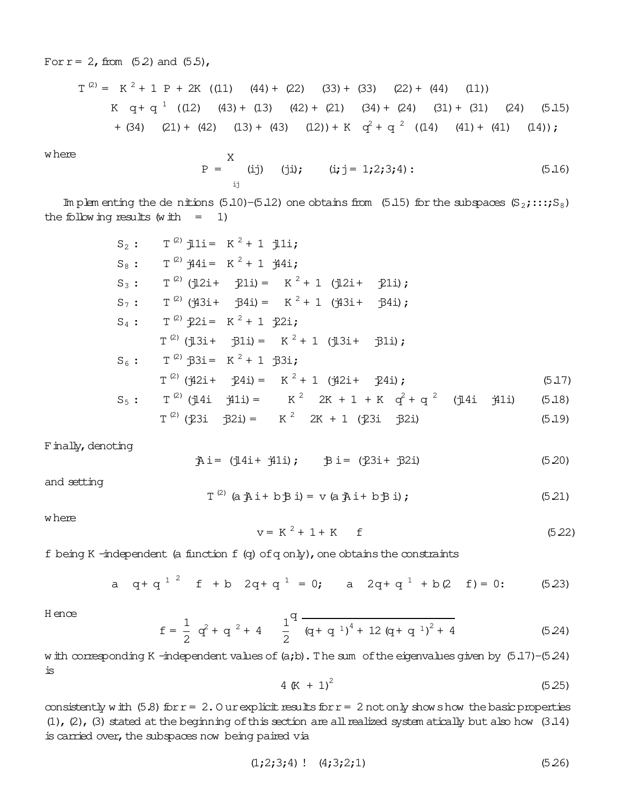For  $r = 2$ , from (5.2) and (5.5),

$$
T^{(2)} = K^2 + 1 P + 2K ((11) (44) + (22) (33) + (33) (22) + (44) (11))
$$
  
\n $K q + q^{-1} ((12) (43) + (13) (42) + (21) (34) + (24) (31) + (31) (24) (5.15)$   
\n $+ (34) (21) + (42) (13) + (43) (12) + K q^2 + q^{-2} ((14) (41) + (41) (14));$ 

where

$$
P = \n\begin{cases}\nX & (ij) \\
y & (j) \\
z & (j) \\
z & (j) \\
z & (j) \\
z & (j) \\
z & (j) \\
z & (j) \\
z & (j) \\
z & (j) \\
z & (j) \\
z & (j) \\
z & (j) \\
z & (j) \\
z & (j) \\
z & (j) \\
z & (j) \\
z & (j) \\
z & (j) \\
z & (j) \\
z & (j) \\
z & (j) \\
z & (j) \\
z & (j) \\
z & (j) \\
z & (j) \\
z & (j) \\
z & (j) \\
z & (j) \\
z & (j) \\
z & (j) \\
z & (j) \\
z & (j) \\
z & (j) \\
z & (j) \\
z & (j) \\
z & (j) \\
z & (j) \\
z & (j) \\
z & (j) \\
z & (j) \\
z & (j) \\
z & (j) \\
z & (j) \\
z & (j) \\
z & (j) \\
z & (j) \\
z & (j) \\
z & (j) \\
z & (j) \\
z & (j) \\
z & (j) \\
z & (j) \\
z & (j) \\
z & (j) \\
z & (j) \\
z & (j) \\
z & (j) \\
z & (j) \\
z & (j) \\
z & (j) \\
z & (j) \\
z & (j) \\
z & (j) \\
z & (j) \\
z & (j) \\
z & (j) \\
z & (j) \\
z & (j) \\
z & (j) \\
z & (j) \\
z & (j) \\
z & (j) \\
z & (j) \\
z & (j) \\
z & (j) \\
z & (j) \\
z & (j) \\
z & (j) \\
z & (j) \\
z & (j) \\
z & (j) \\
z & (j) \\
z & (j) \\
z & (j) \\
z & (j) \\
z & (j) \\
z & (j) \\
z & (j) \\
z & (j) \\
z & (j) \\
z & (j) \\
z & (j) \\
z & (
$$

Im plem enting the de nitions  $(5.10)$ - $(5.12)$  one obtains from  $(5.15)$  for the subspaces  $(S_2; \ldots; S_8)$ the following results (with  $= 1$ )

| $S_2$ : | $T^{(2)}$ $11i =$ $K^2 + 1$ $11i$ ;                                                                      |        |
|---------|----------------------------------------------------------------------------------------------------------|--------|
| $S_8$ : | $T^{(2)}$ $\dot{t}$ 44i = K <sup>2</sup> + 1 $\dot{t}$ 44i;                                              |        |
| $S_3$ : | $T^{(2)}$ ( $\frac{1}{2}2i + \frac{1}{2}2i = K^2 + 1$ ( $\frac{1}{2}2i + \frac{1}{2}2i$ );               |        |
| $S_7$ : | $T^{(2)}$ (†43i+ †54i) = K $^{2}$ + 1 (†43i+ †54i);                                                      |        |
| $S_4$ : | $T^{(2)} 2i = K^2 + 1 2i;$                                                                               |        |
|         | $T^{(2)}$ ( $\frac{1}{2}3i + \frac{1}{2}3i = K^2 + 1$ ( $\frac{1}{2}3i + \frac{1}{2}3i$ );               |        |
| $S_6$ : | $T^{(2)}$ 33i= K <sup>2</sup> + 1 33i;                                                                   |        |
|         | $T^{(2)}$ ( $42i+$ $24i) =$ $K^2 + 1$ ( $42i+$ $24i$ );                                                  | (5.17) |
| $S_5$ : | $T^{(2)}$ (14i $\frac{1}{2}$ 1i) = $K^2$ 2K + 1 + K $q^2$ + q <sup>2</sup> (14i $\frac{1}{2}$ 1i) (5.18) |        |
|         | $T^{(2)}$ (231 321) = $K^2$ 2K + 1 (231 321)                                                             | (5.19) |

F inally, denoting

$$
\tilde{A}i = (\tilde{\mu}4i + \tilde{\mu}1i); \qquad \tilde{B}i = (\tilde{\mu}3i + \tilde{\mu}2i)
$$
 (5.20)

and setting

$$
T^{(2)} (a \nexists i + b \nexists i) = v (a \nexists i + b \nexists i); \qquad (5.21)
$$

where

$$
v = K^2 + 1 + K \t f \t(5.22)
$$

f being K -independent (a function  $f$  (q) of q only), one obtains the constraints

a 
$$
q + q^{1^2}
$$
 f + b  $2q + q^{1} = 0$ ; a  $2q + q^{1} + b(2^2) = 0$ ; (5.23)

H ence

$$
f = \frac{1}{2} q^{2} + q^{2} + 4 \frac{1}{2} q \frac{q}{(q + q^{1})^{4} + 12 (q + q^{1})^{2} + 4}
$$
 (5.24)

with corresponding K -independent values of (a;b). The sum of the eigenvalues given by (5.17)-(5.24) is

$$
4 (K + 1)^2 \tag{5.25}
$$

consistently with (5.8) for  $r = 2$ . O urexplicit results for  $r = 2$  not only show show the basic properties  $(1)$ ,  $(2)$ ,  $(3)$  stated at the beginning of this section are all realized system atically but also how  $(3.14)$ is carried over, the subspaces now being paired via

$$
(1;2;3;4) \quad (4;3;2;1) \tag{5.26}
$$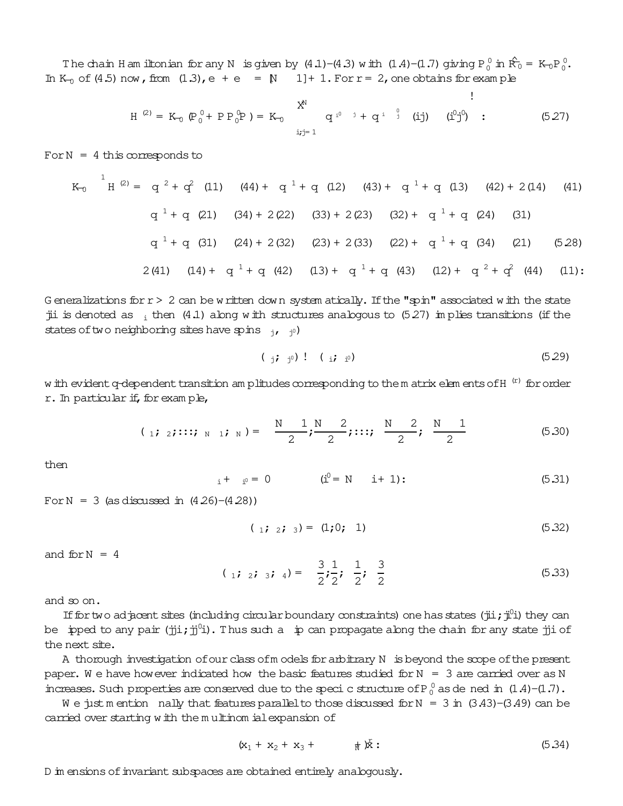The chain H am iltonian for any N is given by  $(4.1)$ – $(4.3)$  with  $(1.4)$ – $(1.7)$  giving  $P_0^0$  in  $\hat{R_0}$  = K– $_0P_0^0$ . In K<sub>0</sub> of (4.5) now, from  $(1.3)$ , e + e =  $\mathbb{N}$  1] + 1. For r = 2, one obtains for exam ple

$$
H^{(2)} = K_0 \left( P_0^0 + P P_0^0 P \right) = K_0 \qquad \qquad \begin{array}{c} X^N \\ Y^N \\ Y^N \end{array} \qquad \qquad \begin{array}{c} q^{i^0} \quad i + q^{i^0} \quad i \\ \end{array} \qquad \qquad \begin{array}{c} (i j) \\ (j j^0) \quad \end{array} \qquad \qquad \begin{array}{c} (i^0 j^0) \\ \end{array} \qquad \qquad \begin{array}{c} (5.27) \\ (4.27) \end{array}
$$

For  $N = 4$  this corresponds to

$$
K_{0} \stackrel{1}{H}^{(2)} = q^{2} + q^{2} (11) (44) + q^{1} + q (12) (43) + q^{1} + q (13) (42) + 2(14) (41)
$$
  
\n
$$
q^{1} + q (21) (34) + 2(22) (33) + 2(23) (32) + q^{1} + q (24) (31)
$$
  
\n
$$
q^{1} + q (31) (24) + 2(32) (23) + 2(33) (22) + q^{1} + q (34) (21) (528)
$$
  
\n
$$
2(41) (14) + q^{1} + q (42) (13) + q^{1} + q (43) (12) + q^{2} + q^{2} (44) (11)
$$

G eneralizations for  $r > 2$  can be written down system atically. If the "spin" associated with the state jii is denoted as  $\frac{1}{1}$  then (4.1) along with structures analogous to (5.27) im plies transitions (if the states of two neighboring sites have spins  $_{j}$ ,  $_{j^0}$ )

$$
(\mathbf{j} \mathbf{j} \mathbf{p}) \mathbf{1} \mathbf{1} (\mathbf{k} \mathbf{j} \mathbf{p}) \mathbf{1} (\mathbf{k} \mathbf{j} \mathbf{p})
$$

w ith evident q-dependent transition am plitudes corresponding to the m atrix elem ents of H $\,$  (r) for order r. In particular if, for exam ple,

$$
(1; 2; ...; N | 1; N) = \frac{N-1}{2}; \frac{N-2}{2}; ...; \frac{N-2}{2}; \frac{N-1}{2}
$$
 (5.30)

then

$$
i + i^0 = 0 \qquad (i^0 = N \quad i + 1): \qquad (5.31)
$$

For  $N = 3$  (as discussed in  $(4.26)$ – $(4.28)$ )

$$
(\begin{array}{cc} 1 & 2 \\ 2 & 3 \end{array}) = (\begin{array}{cc} 1 & 0 \\ 1 & 1 \end{array}) \tag{5.32}
$$

and  $for N = 4$ 

$$
(\begin{array}{ccc} 1 & 2 & 3 \\ 1 & 2 & 3 \end{array}) = \frac{3}{2} \cdot \frac{1}{2} \cdot \frac{1}{2} \cdot \frac{3}{2} \tag{5.33}
$$

and so on.

If for two adjacent sites (including circular boundary constraints) one has states (jii; ji<sup>0</sup>i) they can be  $\,$  ipped to any pair (jji;j $\,$ j). Thus such a  $\,$  ip can propagate along the chain for any state jji of the next site.

A thorough investigation of our class of m odels for arbitrary N is beyond the scope of the present paper. W e have however indicated how the basic features studied for  $N = 3$  are carried over as N increases. Such properties are conserved due to the speci c structure of P $_0^0$  as de ned in  $(1.4)$ - $(1.7)$ .

W e just m ention nally that features parallel to those discussed for  $N = 3$  in  $(3.43)-(3.49)$  can be carried over starting with the m ultinom ialexpansion of

(x<sup>1</sup> + x<sup>2</sup> + x<sup>3</sup> + +<sup>N</sup> )x r : (5.34)

D in ensions of invariant subspaces are obtained entirely analogously.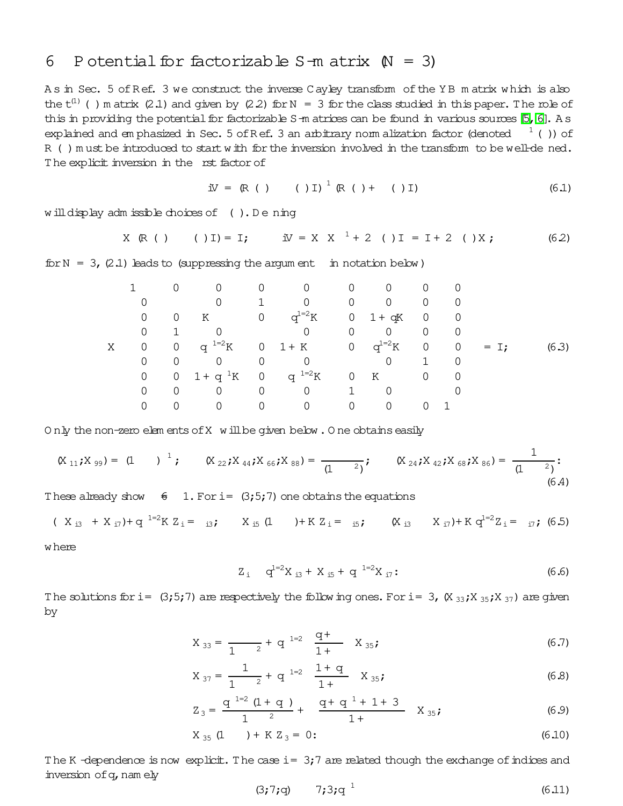#### P otential for factorizable  $S-m$  atrix  $(N = 3)$ 6

As in Sec. 5 of Ref. 3 we construct the inverse Cayley transform of the YB matrix which is also the  $t^{(1)}$  () m atrix (2.1) and given by (2.2) for N = 3 for the class studied in this paper. The role of this in providing the potential for factorizable  $S$ -m atrices can be found in various sources  $[5, 6]$ . A s explained and emphasized in Sec. 5 of Ref. 3 an arbitrary normalization factor (denoted  $1$  ()) of R () must be introduced to start with for the inversion involved in the transform to be well-de ned. The explicit inversion in the rst factor of

$$
\text{IV} = (\mathbb{R} \quad ( \quad ) \quad ( \quad ) \text{I}) \, \stackrel{1}{\text{}} \, (\mathbb{R} \quad ( \quad ) + \quad ( \quad ) \text{I}) \tag{6.1}
$$

will display adm issible choices of (). Dening

$$
X (R()
$$
 ( )I) = I;  $W = X X^{\perp} + 2$  ( )I = I + 2 ( )X; (62)

for  $N = 3$ , (2.1) leads to (suppressing the argum ent in notation below)

|   |                |                |                              |                |                |                | $\Omega$     | 0              | 0              |        |       |
|---|----------------|----------------|------------------------------|----------------|----------------|----------------|--------------|----------------|----------------|--------|-------|
|   |                |                | 0                            |                | $\Omega$       | $\Omega$       | $\Omega$     | $\mathbf 0$    | 0              |        |       |
|   | 0              | $\overline{0}$ | K                            | $\overline{0}$ | $q^{1=2}K$     |                | $0$ 1 + $qK$ | $\overline{0}$ | $\overline{0}$ |        |       |
|   | 0              | 1.             |                              |                | 0              | $\Omega$       | $\Omega$     | $\mathbf 0$    | $\overline{0}$ |        |       |
| Χ | $\overline{0}$ |                | 0 q <sup>1=2</sup> K 0 1 + K |                |                |                | 0 $q^{1=2}K$ | $\overline{0}$ | $\overline{0}$ | $=$ I; | (6.3) |
|   | 0              | $\Omega$       | $\Omega$                     | 0              | $\Omega$       |                | $\mathbf 0$  | 1              | $\Omega$       |        |       |
|   | 0              |                | 0 $1 + q^{1}K$ 0 $q^{1=2}K$  |                |                | $\overline{0}$ | K            | $\mathbf 0$    | 0              |        |       |
|   | 0              | $\Omega$       | $\overline{0}$               | $\overline{0}$ | $\overline{0}$ | 1              | $\Omega$     |                |                |        |       |
|   | $\Omega$       |                |                              |                | $\Omega$       | $\Omega$       | $\Omega$     |                |                |        |       |

Only the non-zero elements of X will be given below. One obtains easily

$$
(\mathsf{X}_{11}; \mathsf{X}_{99}) = (1) \quad \frac{1}{\mathsf{X}_{22}}; \quad (\mathsf{X}_{22}; \mathsf{X}_{44}; \mathsf{X}_{66}; \mathsf{X}_{88}) = \frac{1}{(1-2)^{\mathsf{X}_{24}}; \quad (\mathsf{X}_{24}; \mathsf{X}_{42}; \mathsf{X}_{68}; \mathsf{X}_{86}) = \frac{1}{(1-2)^{\mathsf{X}_{24}}; \quad (6.4)
$$

These already show  $\frac{2}{5}$  1. For i= (3;5;7) one obtains the equations

 $(X_{i3} + X_{i7}) + q^{1=2} K Z_i = i3;$   $X_{i5} (1) + K Z_i = i5;$   $(X_{i3} X_{i7}) + K q^{1=2} Z_i = i7;$  (6.5)

w here

$$
Z_{i} \t q^{1=2}X_{i3} + X_{i5} + q^{1=2}X_{i7}:
$$
\t(6.6)

The solutions for i=  $(3,5,7)$  are respectively the following ones. For i= 3,  $(X_{33},X_{35},X_{37})$  are given by

$$
X_{33} = \frac{q^2}{1 - 2} + q^{-1=2} \frac{q^2}{1 +} X_{35};
$$
 (6.7)

$$
X_{37} = \frac{1}{1} + q^{1=2} \frac{1+q}{1+} X_{35};
$$
 (6.8)

$$
Z_3 = \frac{q^{1=2} (1+q)}{1^2} + \frac{q+q^{1}+1+3}{1+} X_{35};
$$
 (6.9)

$$
X_{35} (1) + K Z_3 = 0:
$$
 (6.10)

The K-dependence is now explicit. The case  $i = 3,7$  are related though the exchange of indices and inversion of q, namely

$$
(3;7;q) \t 7;3;q1 \t (6.11)
$$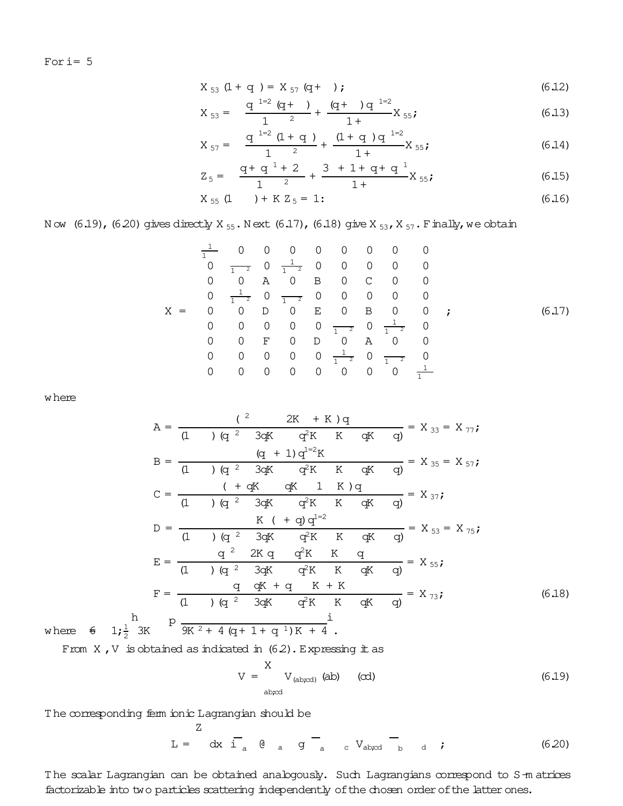For  $i=5$ 

$$
X_{53} (1 + q) = X_{57} (q + );
$$
 (6.12)

$$
X_{53} = \frac{q^{1-2} (q+)}{1^{2}} + \frac{(q+) q^{1-2}}{1+} X_{55};
$$
 (6.13)

$$
X_{57} = \frac{q^{1=2} (1+q)}{1^{2}} + \frac{(1+q) q^{1=2}}{1+} X_{55};
$$
 (6.14)

$$
Z_5 = \frac{q+q^1+2}{1^2} + \frac{3+1+q+q^1}{1^+}X_{55};
$$
 (6.15)

$$
X_{55} (1) + K Z_5 = 1:
$$
 (6.16)

N ow  $(6.19)$ ,  $(6.20)$  gives directly X  $_{55}$ . N ext  $(6.17)$ ,  $(6.18)$  give X  $_{53}$ , X  $_{57}$ . F inally, we obtain

$$
\frac{1}{1} \quad 0 \quad 0 \quad 0 \quad 0 \quad 0 \quad 0 \quad 0 \quad 0
$$
\n
$$
0 \quad \frac{1}{1} \quad 0 \quad \frac{1}{1} \quad 0 \quad 0 \quad 0 \quad 0 \quad 0
$$
\n
$$
0 \quad 0 \quad A \quad 0 \quad B \quad 0 \quad C \quad 0 \quad 0
$$
\n
$$
0 \quad \frac{1}{1} \quad 0 \quad \frac{1}{1} \quad 0 \quad 0 \quad C \quad 0 \quad 0
$$
\n
$$
0 \quad 0 \quad 0 \quad 0 \quad 0 \quad C \quad 0 \quad 0
$$
\n
$$
0 \quad 0 \quad 0 \quad 0 \quad 0 \quad 0 \quad \frac{1}{1} \quad 0 \quad 0 \quad 0 \quad 0 \quad 0
$$
\n
$$
0 \quad 0 \quad 0 \quad 0 \quad 0 \quad 0 \quad \frac{1}{1} \quad 0 \quad 0
$$
\n
$$
0 \quad 0 \quad 0 \quad 0 \quad 0 \quad 0 \quad 0 \quad \frac{1}{1} \quad 0 \quad \frac{1}{1} \quad 0
$$
\n
$$
0 \quad 0 \quad 0 \quad 0 \quad 0 \quad 0 \quad 0 \quad 0 \quad 0 \quad \frac{1}{1} \quad 0 \quad \frac{1}{1} \quad 0
$$

where

$$
A = \frac{(2 \times 2K + K)q}{(1 \times 1) (q^2 \times 3qK - q^2K + K - qK - q)} = X_{33} = X_{77};
$$
  
\n
$$
B = \frac{(q + 1) q^{1-2} K}{(1 \times 1) (q^2 \times 3qK - q^2K + K - qK - q)} = X_{35} = X_{57};
$$
  
\n
$$
C = \frac{(1 + qK - qK + 1) K) q}{(1 \times 1) (q^2 \times 3qK - q^2K + K - qK - q)} = X_{37};
$$
  
\n
$$
D = \frac{K (1 + q) q^{1-2}}{(1 \times 1) (q^2 \times 3qK - q^2K + K - qK - q)} = X_{53} = X_{75};
$$
  
\n
$$
E = \frac{q^2 \times 2K q}{(1 \times 1) (q^2 \times 3qK - q^2K + K - qK - q)} = X_{55};
$$
  
\n
$$
F = \frac{q}{(1 \times 1) (q^2 \times 3qK - q^2K + K - qK - q)} = X_{73};
$$
  
\n
$$
B = \frac{q^2 \times 3qK - q^2K + K - qK - q}{(1 \times 1) (q^2 \times 3qK - q^2K + K - qK - q)} = X_{73};
$$
  
\n
$$
B = \frac{q}{(1 \times 1) (q^2 \times 3qK - q^2K + K - qK - q)} = X_{73};
$$
  
\n
$$
B = \frac{q}{(1 \times 1) (q^2 \times 3qK - q^2K + K - qK - q)} = X_{73};
$$
  
\n
$$
B = \frac{q}{(1 \times 1) (q^2 \times 3qK - q^2K + K - qK - q)} = X_{73};
$$
  
\n
$$
B = \frac{q}{(1 \times 1) (q^2 \times 3qK - q^2K + K - qK - q)} = X_{73};
$$
  
\n
$$
B = \frac{q}{(1 \times 1) (q^2 \times 3qK - q^2K + K - qK - q)} = X_{73};
$$
  
\n
$$
B = \frac{q}{(1 \
$$

where  $\epsilon$  1;  $\frac{1}{2}$ 2

h

From  $X$ ,  $V$  is obtained as indicated in  $(6.2)$ . Expressing it as

$$
V = \begin{cases} X \\ V_{(ab;cd)} \text{ (ab)} \end{cases} \quad (cd) \tag{6.19}
$$

The corresponding ferm ionic Lagrangian should be

Z

$$
L = dx i_a @ a g a_c V_{ab;cd} b d ; \t(6.20)
$$

The scalar Lagrangian can be obtained analogously. Such Lagrangians correspond to S-m atrices factorizable into two particles scattering independently of the chosen order of the latter ones.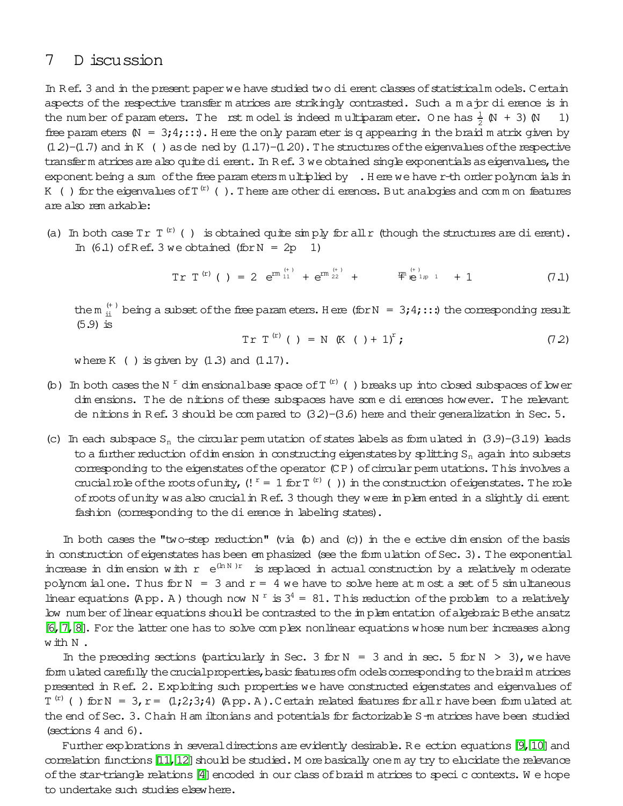## 7 D iscussion

In Ref. 3 and in the present paper we have studied two dierent classes of statisticalm odels. Certain aspects of the respective transfer m atrices are strikingly contrasted. Such a m a pr di erence is in the number of param eters. The rst model is indeed multiparam eter. One has  $\frac{1}{2}$  (N + 3) (N = 1) free param eters  $(N = 3; 4; \ldots)$ . Here the only param eter is q appearing in the braid m atrix given by  $(1.2)$ - $(1.7)$  and in K () as de ned by  $(1.17)$ - $(1.20)$ . The structures of the eigenvalues of the respective transferm atrices are also quite dierent. In R ef. 3 we obtained single exponentials as eigenvalues, the exponent being a sum of the free param etersm ultiplied by . Here we have r-th order polynom ials in K () for the eigenvalues of T  $^{(r)}$  (). There are other dierences. But analogies and common features are also rem arkable:

(a) In both case Tr  $T^{(r)}$  ( ) is obtained quite simply for all r (though the structures are dierent). In  $(6.1)$  of Ref. 3 we obtained (for N = 2p 1)

$$
\text{Tr } T^{(r)} \text{ } (\ ) = 2 \ e^{\text{rm } 11} + e^{\text{rm } 22} + \qquad \text{F}^{(r)} = \text{F}^{(r)} \tag{7.1}
$$

the m  $_{\rm ii}^{(+)}$  being a subset of the free param eters. Here (for N = 3;4;:::) the corresponding result  $(5.9)$  is

$$
Tr T^{(r)} ( ) = N ( K ( ) + 1)^r ; \qquad (72)
$$

where K ( ) is given by  $(1.3)$  and  $(1.17)$ .

- (b) In both cases the N<sup>r</sup> dim ensional base space of T<sup>(r)</sup>() breaks up into closed subspaces of lower dim ensions. The de nitions of these subspaces have some dierences however. The relevant de nitions in Ref. 3 should be compared to  $(3.2)$ - $(3.6)$  here and their generalization in Sec. 5.
- (c) In each subspace S<sub>n</sub> the circular perm utation of states labels as form ulated in  $(3.9)$ - $(3.19)$  leads to a further reduction of dim ension in constructing eigenstates by splitting  $S_n$  again into subsets corresponding to the eigenstates of the operator (CP) of circular perm utations. This involves a crucial role of the roots of unity,  $($ !  $^r = 1$  for T<sup>(r)</sup>()) in the construction of eigenstates. The role of roots of unity was also crucial in Ref. 3 though they were implem ented in a slightly dierent fashion (corresponding to the dierence in labeling states).

In both cases the "two-step reduction" (via  $(p)$ ) and  $(c)$ ) in the eective dim ension of the basis in construction of eigenstates has been em phasized (see the form ulation of Sec. 3). The exponential increase in dim ension with  $r e^{(ln N)r}$  is replaced in actual construction by a relatively moderate polynom ialone. Thus for  $N = 3$  and  $r = 4$  we have to solve here at m ost a set of 5 simultaneous linear equations (App. A) though now N<sup>r</sup> is  $3^4 = 81$ . This reduction of the problem to a relatively low num ber of linear equations should be contrasted to the im plem entation of algebraic Bethe ansatz [\[6,](#page-26-5)[7,](#page-26-6)[8\]](#page-26-7). For the latter one has to solve com plex nonlinear equations whose num ber increases along with N .

In the preceding sections (particularly in Sec. 3 for  $N = 3$  and in sec. 5 for  $N > 3$ ), we have form ulated carefully the crucial properties, basic features of models corresponding to the braid m atrices presented in Ref. 2. Exploiting such properties we have constructed eigenstates and eigenvalues of  $T^{(r)}$  ( ) for N = 3, r =  $(1;2;3;4)$  (A pp. A ). Certain related features for all r have been form ulated at the end of Sec. 3. Chain H am iltonians and potentials for factorizable S-m atrices have been studied (sections 4 and 6).

Further explorations in several directions are evidently desirable. Re ection equations [\[9,](#page-26-8) [10\]](#page-26-9) and correlation functions  $[11, 12]$  $[11, 12]$  should be studied. M ore basically one m ay try to elucidate the relevance of the star-triangle relations [\[4\]](#page-26-3) encoded in our class of braid m atrices to speci c contexts. We hope to undertake such studies elsewhere.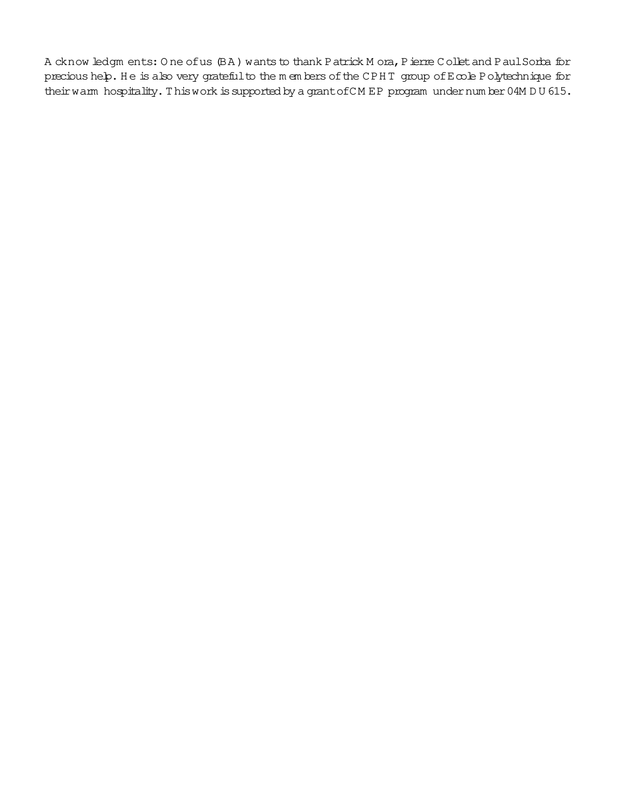A cknow ledgm ents: One of us (BA) wants to thank Patrick M ora, Pierre Collet and Paul Sorba for precious help. He is also very grateful to the m embers of the CPHT group of Ecole Polytechnique for their warm hospitality. This work is supported by a grant of CM EP program under number 04M DU 615.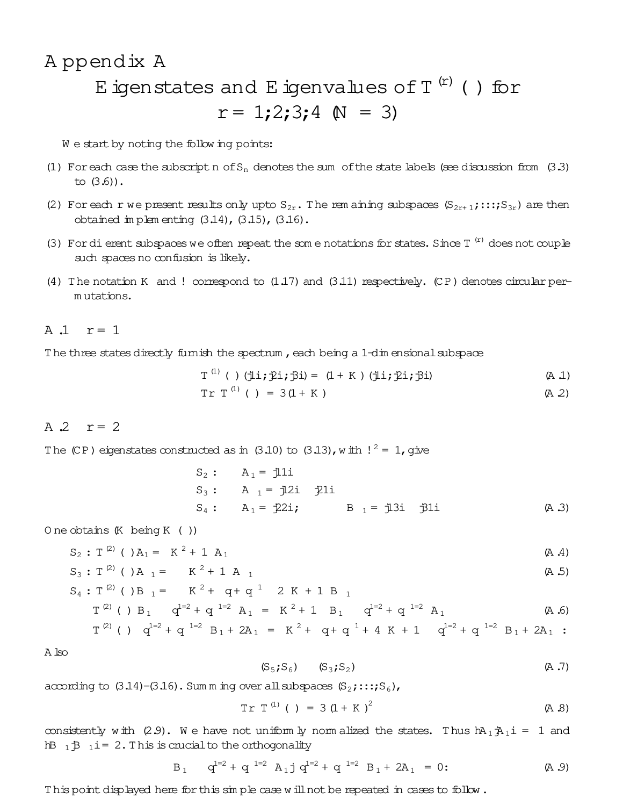# A ppendix A E igenstates and E igenvalues of  $T^{(r)}$  () for  $r = 1;2;3;4 \text{ N} = 3$

We start by noting the following points:

- (1) For each case the subscript n of  $S_n$  denotes the sum of the state labels (see discussion from  $(3.3)$ to  $(3.6)$ ).
- (2) For each r we present results only upto  $S_{2r}$ . The rem aining subspaces  $(S_{2r+1};::;S_{3r})$  are then obtained in plem enting (3.14), (3.15), (3.16).
- (3) For dierent subspaces we often repeat the some notations for states. Since  $T^{(r)}$  does not couple such spaces no confusion is likely.
- (4) The notation K and ! correspond to  $(1.17)$  and  $(3.11)$  respectively. (CP) denotes circular permutations.

### A  $\Lambda$   $r=1$

The three states directly furnish the spectrum, each being a 1-dim ensional subspace

$$
T^{(1)} \quad (\text{ ) } (\exists i; \exists i; \exists i) = (1 + K) \quad (\exists i; \exists i; \exists i)
$$
 (A.1)

$$
Tr T^{(1)} ( ) = 3(1 + K) \qquad (A 2)
$$

### $A$  2  $r = 2$

The (CP) eigenstates constructed as in (3.10) to (3.13), with  $!^2 = 1$ , give

O ne obtains  $(K \text{ being } K ())$ 

$$
S_2: T^{(2)} \text{ } (\text{ }) A_1 = K^2 + 1 A_1 \tag{A.4}
$$

$$
S_3: T^{(2)} ( )A_1 = K^2 + 1 A_1
$$
 (A.5)

$$
S_4: T^{(2)} \text{ ( ) } B_1 = K^2 + q + q^1 \quad 2 K + 1 B_1
$$
  

$$
T^{(2)} \text{ ( ) } B_1 \quad q^{1-2} + q^{1-2} A_1 = K^2 + 1 B_1 \quad q^{1-2} + q^{1-2} A_1
$$
 (A.6)

$$
T^{(2)}
$$
 ( )  $q^{1=2} + q^{1=2} B_1 + 2A_1 = K^2 + q + q^1 + 4 K + 1$   $q^{1=2} + q^{1=2} B_1 + 2A_1$ :

A ko

$$
(S_5; S_6) \qquad (S_3; S_2) \qquad (A.7)
$$

according to  $(3.14)$ - $(3.16)$ . Sum m ing over all subspaces  $(S_2; \ldots; S_6)$ ,

$$
Tr T^{(1)} ( ) = 3 (1 + K)^{2}
$$
 (A.8)

consistently with (2.9). We have not uniformly normalized the states. Thus  $h_1 h_1 i = 1$  and  $hB_1B_1$  i= 2. This is crucial to the orthogonality

$$
B_1
$$
  $q^{1=2} + q^{1=2}$   $A_1 j q^{1=2} + q^{1=2}$   $B_1 + 2A_1 = 0$ : (A.9)

This point displayed here for this simple case will not be repeated in cases to follow.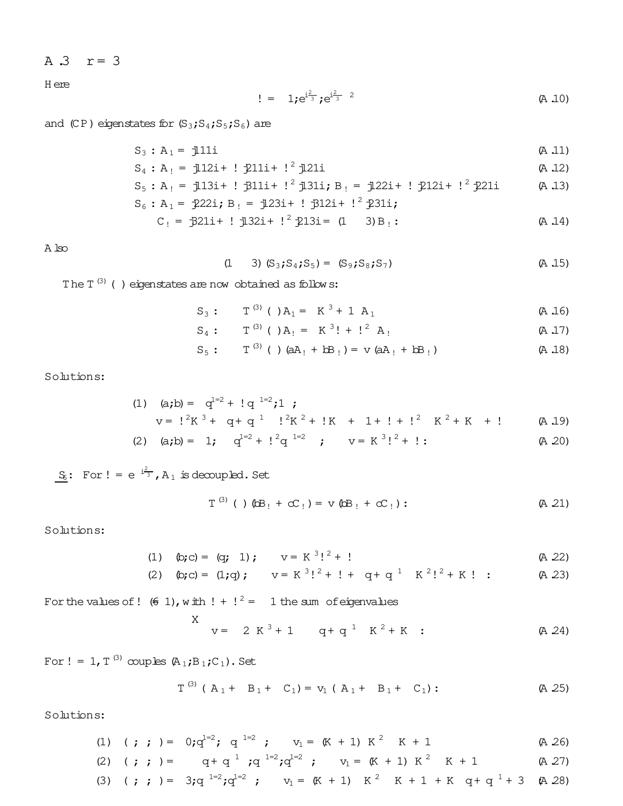A  $.3$   $r = 3$ 

**H** ere

$$
!= 1; e^{\frac{i}{3}}; e^{\frac{i}{3}^2}
$$
 (A.10)

and  $(CP)$  eigenstates for  $(S_3; S_4; S_5; S_6)$  are

$$
S_3: A_1 = j111i \qquad (A.11)
$$
\n
$$
S_2: A_1 = j111i \qquad (A.12)
$$

$$
S_4: A_1 = J121 + J2111 + J2111 \qquad (A.12)
$$

$$
S_5: A_1 = 1/13i + 1/311i + 1^2 1/31i
$$
;  $B_1 = 1/22i + 1/212i + 1^2 21i$  (A 13)

$$
S_6: A_1 = 222i
$$
;  $B_1 = 123i + 132i + 1^2 231i$ ;  
 $C_1 = 321i + 132i + 1^2 213i = 0$ 

$$
C_1 = 3211 + 3211 + 12311 = (1 \t3) + 3111
$$
 (A.14)

 $\mathbb A$ lso

$$
(1 \t 3) (S_3; S_4; S_5) = (S_9; S_8; S_7) \t (A.15)
$$

The  $T^{(3)}$  ( ) eigenstates are now obtained as follows:

$$
S_3
$$
:  $T^{(3)}$  ( ) $A_1 = K^3 + 1 A_1$  (A.16)

$$
S_4
$$
:  $T^{(3)}$  ( ) $A_1 = K^{3}! + l^{2} A_1$  (A.17)

$$
S_5
$$
:  $T^{(3)}$  ( )  $(aA_1 + bB_1) = v (aA_1 + bB_1)$  (A.18)

Solutions:

(1) 
$$
(a,b) = q^{1-2} + 1 q^{-1-2}i
$$
;  
\n $v = 1^2K^3 + q + q^{-1}$   $1^2K^2 + 1K + 1 + 1 + 1^2$   $K^2 + K + 1$  (A.19)  
\n(2)  $(a,b) = 1$ ;  $q^{1-2} + 1^2q^{1-2}$ ;  $v = K^3!^2 + 1$ : (A.20)

 $S_6$ : For ! =  $e^{i\frac{2}{3}}$ , A<sub>1</sub> is decoupled. Set

$$
T^{(3)} \quad (\quad ) \quad (\text{AB}_{1} + cC_{1}) = v \quad (\text{AB}_{1} + cC_{1}) : \tag{A.21}
$$

Solutions:

(1) 
$$
(b; c) = (q; 1); \quad v = K^3!^2 + !
$$
 (A 22)

(2)  $\phi$ ; c) = (1;q);  $v = K^{3}$ !<sup>2</sup> + ! + q + q<sup>1</sup>  $K^{2}$ !<sup>2</sup> + K ! :  $(A 23)$ 

For the values of ! (6 1), with  $! + 1^2 = 1$  the sum of eigenvalues

 $\sim$ 

$$
X = 2 K3 + 1 q + q1 K2 + K
$$
 (A 24)

For ! = 1, T<sup>(3)</sup> couples  $(A_1;B_1;C_1)$ . Set

$$
T^{(3)}
$$
 ( $A_1 + B_1 + C_1$ ) =  $v_1$  ( $A_1 + B_1 + C_1$ ): (A 25)

 $\sim$ 

Solutions:

(1) 
$$
( ; ; ) = 0; q^{1=2}; q^{1=2}; \quad v_1 = (K + 1) K^2 K + 1
$$
 (A 26)

(2) (*;* ; ) = 
$$
q + q^{-1}
$$
;  $q^{-1=2}$ ;  $q^{1=2}$ ;  $v_1 = (K + 1) K^2 K + 1$  (A 27)

(3) (*i* ; ) = 3; 
$$
q^{1=2}
$$
;  $q^{1=2}$  ;  $v_1 = (K + 1) K^2 K + 1 + K q + q^1 + 3 (A 28)$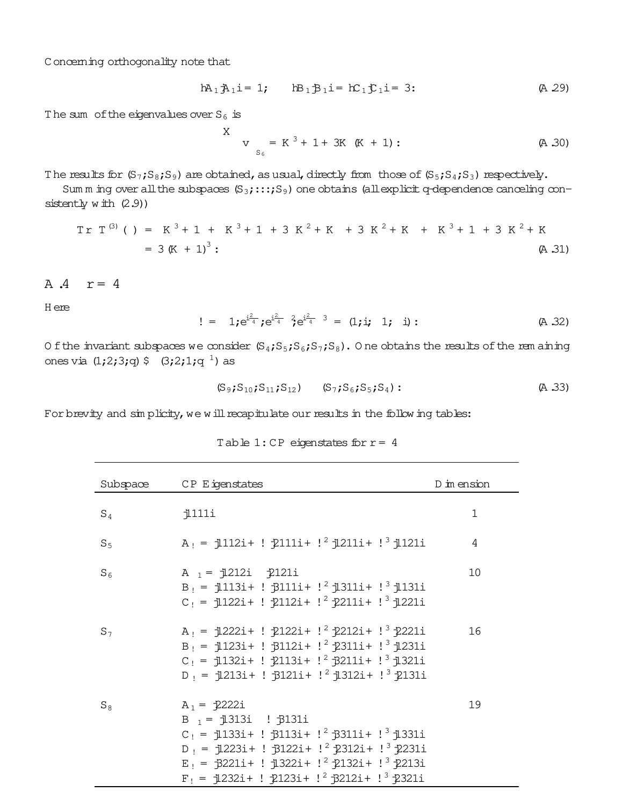Concerning orthogonality note that

$$
hA_1A_1i = 1; \t hB_1B_1i = hC_1C_1i = 3; \t (A 29)
$$

The sum of the eigenvalues over  $S_6$  is

$$
X \tV_{S_6} = K^3 + 1 + 3K (K + 1):
$$
 (A.30)

The results for  $(S_7; S_8; S_9)$  are obtained, as usual, directly from those of  $(S_5; S_4; S_3)$  respectively.

Sum m ing over all the subspaces  $(S_3; \ldots; S_9)$  one obtains (all explicit q-dependence canceling consistently  $w$  ith  $(2.9)$ )

$$
Tr T(3) ( ) = K3 + 1 + K3 + 1 + 3 K2 + K + 3 K2 + K + K3 + 1 + 3 K2 + K
$$
  
= 3 (K + 1)<sup>3</sup>: (A.31)

$$
A \cdot A \quad r = 4
$$

H ere

 $!= 1; e^{i\frac{2}{4}}; e^{i\frac{2}{4}} \cdot e^{i\frac{2}{4}} \cdot e^{i\frac{2}{4}} = (1; i; 1; i)$ :  $(A, 32)$ 

Of the invariant subspaces we consider  $(S_4;S_5;S_6;S_7;S_8)$ . One obtains the results of the rem aining ones via  $(1,2;3;q)$  \$  $(3,2;1;q$ <sup>1</sup>) as

$$
(S_9; S_{10}; S_{11}; S_{12})
$$
  $(S_7; S_6; S_5; S_4)$ : (A.33)

For brevity and simplicity, we will recapitulate our results in the following tables:

|  | Table $1:$ CP eigenstates for $r = 4$ |  |
|--|---------------------------------------|--|
|--|---------------------------------------|--|

| Subspace | CP Eigenstates                                                                                                                                                                                                                                                           | D im ension |
|----------|--------------------------------------------------------------------------------------------------------------------------------------------------------------------------------------------------------------------------------------------------------------------------|-------------|
| $S_4$    | j111i                                                                                                                                                                                                                                                                    | $\mathbf 1$ |
| $S_5$    | $A_1 = 112i + 1211i + 1^2 1211i + 1^3 1121i$                                                                                                                                                                                                                             | 4           |
| $S_6$    | A $_1$ = $\frac{1212i}{2121i}$<br>$B_1 = 1113i + 13111i + 1^21311i + 1^31131i$<br>$C_1 = 1122i + 12112i + 1^2 211i + 1^3 1221i$                                                                                                                                          | 10          |
| $S_7$    | $A_1 = 1222i + 12122i + 1^2 2212i + 1^3 2221i$<br>$B_1 = 1123i + 13112i + 1^22311i + 1^31231i$<br>$C_1 = 1132i + 12113i + 1^23211i + 1^31321i$<br>$D_1 = 1213i + ! 3121i + !^2 1312i + !^3 2131i$                                                                        | 16          |
| $S_8$    | $A_1 = \sqrt{2222i}$<br>B $_1$ = $\frac{1}{3}$ 313i : $\frac{1}{3}$ 3131i<br>$C_1 = 1133i + 13113i + 1^23311i + 1^31331i$<br>$D_1 = 1223i+ ! 13122i + ! 2123i + ! 31231i$<br>$E_1 = 3221i + 1322i + 1^22132i + 1^32213i$<br>$F_1 = 1232i + 12123i + 1^23212i + 1^32321i$ | 19          |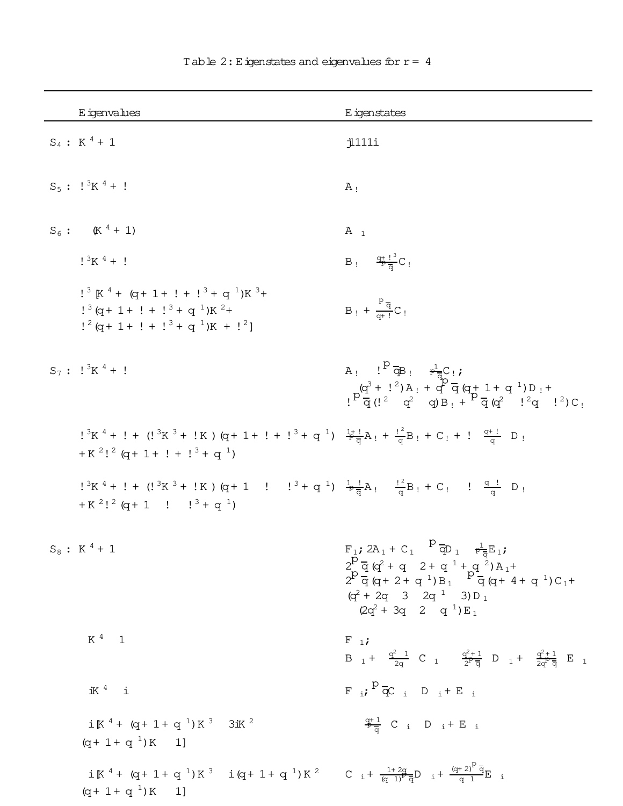| E igenvalues                                                                                                                                                                                                                                                                                                                                                 | E igenstates                                                                                                                                                                                                                                                                                                                                                                                                                                                 |
|--------------------------------------------------------------------------------------------------------------------------------------------------------------------------------------------------------------------------------------------------------------------------------------------------------------------------------------------------------------|--------------------------------------------------------------------------------------------------------------------------------------------------------------------------------------------------------------------------------------------------------------------------------------------------------------------------------------------------------------------------------------------------------------------------------------------------------------|
| $S_4$ : K <sup>4</sup> + 1                                                                                                                                                                                                                                                                                                                                   | 1111i                                                                                                                                                                                                                                                                                                                                                                                                                                                        |
| $S_5$ : $!^{3}K^{4}$ + !                                                                                                                                                                                                                                                                                                                                     | $A_{!}$                                                                                                                                                                                                                                                                                                                                                                                                                                                      |
| $S_6$ : (K <sup>4</sup> + 1)                                                                                                                                                                                                                                                                                                                                 | $A_1$                                                                                                                                                                                                                                                                                                                                                                                                                                                        |
| $1^{3}K^{4} + 1$                                                                                                                                                                                                                                                                                                                                             | $B_i = \frac{q_i^2 l_i^3}{R}C_i$                                                                                                                                                                                                                                                                                                                                                                                                                             |
| $!^{3}$ K <sup>4</sup> + (q + 1 + ! + ! <sup>3</sup> + q <sup>1</sup> )K <sup>3</sup> +<br>$!^{3}$ (q + 1 + ! + ! <sup>3</sup> + q <sup>1</sup> )K <sup>2</sup> +<br>$\frac{1^2}{9} + \frac{1}{1} + \frac{1^3}{9} + \frac{1}{1} + \frac{1^2}{1^2}$                                                                                                           | $B_1 + \frac{P\overline{q}}{q+1}C_1$                                                                                                                                                                                                                                                                                                                                                                                                                         |
| $S_7: \frac{1^3K^4+1}{K}$                                                                                                                                                                                                                                                                                                                                    | A <sub>!</sub> $!^{p} \overline{\phi}B_{1} \frac{1}{p}C_{1}$<br>$P^{\text{(q}^3 + 1^2) \text{A}_1 + \text{q}^9 \over \text{q} (1^2 \text{q}^2 \text{q}) \text{B}_1 + P^{\text{(q)} \text{q}} \text{(q}^2 \text{q}^2 \text{q}) \text{C}_1$                                                                                                                                                                                                                    |
| $!^{3}K^{4} + ! + (!^{3}K^{3} + !K) (q + 1 + ! + !^{3} + q^{1}) \frac{1 + !}{2}A_{1} + \frac{12}{9}B_{1} + C_{1} + ! \frac{q + !}{q}D_{1}$<br>$+ K^2$ ! <sup>2</sup> (q+ 1+ ! + ! <sup>3</sup> + q <sup>1</sup> )                                                                                                                                            |                                                                                                                                                                                                                                                                                                                                                                                                                                                              |
| $\frac{1}{2}$ $\frac{3}{K}$ $\frac{4}{4}$ + $\frac{1}{2}$ + $\frac{1}{2}$ $\frac{3}{K}$ + $\frac{1}{2}$ $\frac{1}{K}$ + $\frac{1}{2}$ + $\frac{1}{2}$ + $\frac{1}{2}$ + $\frac{1}{2}$ + $\frac{1}{2}$ + $\frac{1}{2}$ + $\frac{1}{2}$ + $\frac{1}{2}$ + $\frac{1}{2}$ + $\frac{1}{2}$ + $\frac{1}{2}$ +<br>$+ K^2$ ! $^2$ (q + 1 ! ! $^3$ + q <sup>1</sup> ) |                                                                                                                                                                                                                                                                                                                                                                                                                                                              |
| $S_8$ : K <sup>4</sup> + 1                                                                                                                                                                                                                                                                                                                                   | $F_1$ ; 2A <sub>1</sub> + C <sub>1</sub> $P \overline{q}$ <sub>1</sub> $F_{\overline{q}} E_1$ ;<br>$2\frac{P}{q}$ $\frac{Q}{q}$ $\frac{Q}{r}$ + q 2 + q $\frac{1}{q}$ + q $\frac{2}{q}$ ) A $_1$ +<br>$2^{\cancel{p}}\frac{1}{\cancel{q}}\frac{1}{\cancel{q}+2+\cancel{q}+1}\mathbf{p}_1 + \frac{\cancel{p}_1}{\cancel{q}}\frac{1}{\cancel{q}+4+\cancel{q}_1}\mathbf{C}_1 +$<br>$(q^2 + 2q \quad 3 \quad 2q^{1} \quad 3) D_1$<br>$(2q^2 + 3q + 2q + q^1)E_1$ |
| $K^4$ 1                                                                                                                                                                                                                                                                                                                                                      | $F_{1}$<br>B $1 + \frac{q^2}{2q}$ C $1 + \frac{q^2+1}{2^2q}$ D $1 + \frac{q^2+1}{2q^2q}$ E $1$                                                                                                                                                                                                                                                                                                                                                               |
| $iK4$ i                                                                                                                                                                                                                                                                                                                                                      | $F_{i}$ ; $P_{\overline{Q}}C_{i}$ D <sub>i</sub> + E <sub>i</sub>                                                                                                                                                                                                                                                                                                                                                                                            |
| $iK^{4} + (q + 1 + q^{1})K^{3}$ 3ik <sup>2</sup><br>$(q+\ 1+\ q^{-1})\,K\qquad 1]$                                                                                                                                                                                                                                                                           | $\frac{q+1}{P_{\overline{G}}}$ C i D i + E i                                                                                                                                                                                                                                                                                                                                                                                                                 |
| $i K^{4} + (q + 1 + q^{1}) K^{3}$ $i (q + 1 + q^{1}) K^{2}$ C $i + \frac{1 + 2q}{(q + 1)^{2} q} D$ $i + \frac{(q + 2)^{2} q}{q + 1} E$ i<br>$(q+1+q^{-1})K$ 1]                                                                                                                                                                                               |                                                                                                                                                                                                                                                                                                                                                                                                                                                              |

Table 2: Eigenstates and eigenvalues for  $r = 4$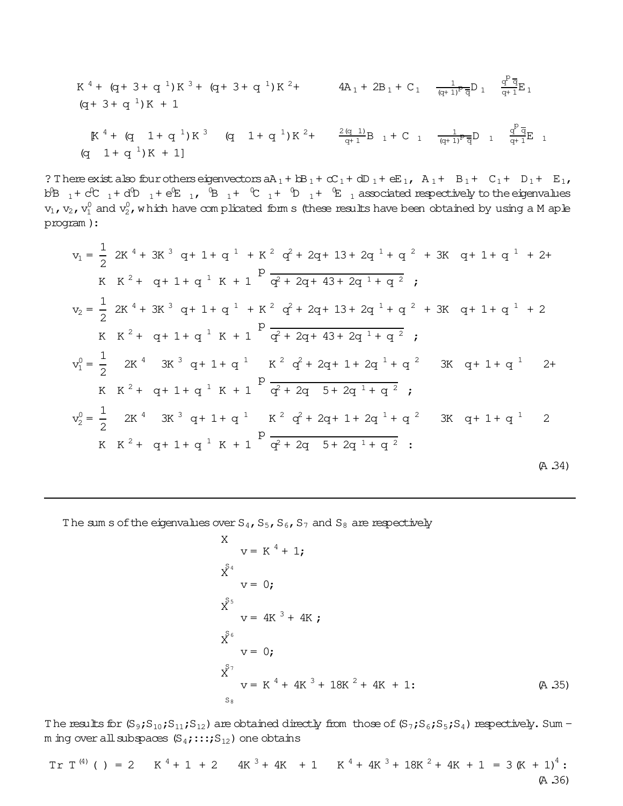$$
K^{4} + (q + 3 + q^{1})K^{3} + (q + 3 + q^{1})K^{2} + 4A_{1} + 2B_{1} + C_{1} \quad \frac{1}{(q + 1)^{p} \overline{q}} D_{1} \quad \frac{q^{p} \overline{q}}{q + 1} E_{1}
$$
  
\n
$$
(q + 3 + q^{1})K + 1
$$
\n
$$
K^{4} + (q + 1 + q^{1})K^{3} \quad (q + 1 + q^{1})K^{2} + \frac{2(q + 1)}{q + 1}B_{1} + C_{1} \quad \frac{1}{(q + 1)^{p} \overline{q}} D_{1} \quad \frac{q^{p} \overline{q}}{q + 1} E_{1}
$$
  
\n
$$
(q + 1 + q^{1})K + 1
$$

 $\mathbf{p}$ 

? There exist also four others eigenvectors  $aA_1 + bB_1 + cC_1 + dD_1 + eE_1$ ,  $A_1 + B_1 + C_1 + D_1 + E_1$ , b<sup>B</sup>  $_1$ + c<sup>p</sup>C  $_1$ + d<sup>p</sup>D  $_1$ + e<sup>p</sup>E  $_1$ , <sup>0</sup>B  $_1$ + <sup>0</sup>C  $_1$ + <sup>0</sup>D  $_1$ + <sup>0</sup>E  $_1$  associated respectively to the eigenvalues  $\rm v_1$ ,  $\rm v_2$ ,  $\rm v_1^0$  and  $\rm v_2^0$ , which have com plicated form s (these results have been obtained by using a M aple program ):

$$
v_{1} = \frac{1}{2} 2K^{4} + 3K^{3} q + 1 + q^{1} + K^{2} q^{2} + 2q + 13 + 2q^{1} + q^{2} + 3K q + 1 + q^{1} + 2 +
$$
\n
$$
K K^{2} + q + 1 + q^{1} K + 1 \n\overrightarrow{q^{2} + 2q + 43 + 2q^{1} + q^{2}};
$$
\n
$$
v_{2} = \frac{1}{2} 2K^{4} + 3K^{3} q + 1 + q^{1} + K^{2} q^{2} + 2q + 13 + 2q^{1} + q^{2} + 3K q + 1 + q^{1} + 2
$$
\n
$$
K K^{2} + q + 1 + q^{1} K + 1 \n\overrightarrow{q^{2} + 2q + 43 + 2q^{1} + q^{2}};
$$
\n
$$
v_{1}^{0} = \frac{1}{2} 2K^{4} 3K^{3} q + 1 + q^{1} K^{2} q^{2} + 2q + 1 + 2q^{1} + q^{2} 3K q + 1 + q^{1} 2 +
$$
\n
$$
K K^{2} + q + 1 + q^{1} K + 1 \n\overrightarrow{q^{2} + 2q + 2q^{1} + q^{2}};
$$
\n
$$
v_{2}^{0} = \frac{1}{2} 2K^{4} 3K^{3} q + 1 + q^{1} K^{2} q^{2} + 2q + 1 + 2q^{1} + q^{2} 3K q + 1 + q^{1} 2
$$
\n
$$
K K^{2} + q + 1 + q^{1} K + 1 \n\overrightarrow{q^{2} + 2q + 2q + 1 + q^{2}};
$$
\n
$$
K K^{2} + q + 1 + q^{1} K + 1 \n\overrightarrow{q^{2} + 2q + 2q + 1 + q^{2}};
$$
\n
$$
(A.34)
$$

The sum s of the eigenvalues over  $S_4$ ,  $S_5$ ,  $S_6$ ,  $S_7$  and  $S_8$  are respectively

$$
x \t v = K4 + 1;
$$
  
\n
$$
x^{S4}\nv = 0;
$$
  
\n
$$
x^{S5}\nv = 4K3 + 4K;
$$
  
\n
$$
x^{S6}\nv = 0;
$$
  
\n
$$
x^{S7}\nv = K4 + 4K3 + 18K2 + 4K + 1;
$$
  
\n
$$
x^{S7}\nv = K4 + 4K3 + 18K2 + 4K + 1;
$$
  
\n(A.35)

The results for  $(S_9;S_{10};S_{11};S_{12})$  are obtained directly from those of  $(S_7;S_6;S_5;S_4)$  respectively. Sum m ing over all subspaces  $(S_4;:::;S_{12})$  one obtains

$$
Tr T(4) ( ) = 2 K4 + 1 + 2 4K3 + 4K + 1 K4 + 4K3 + 18K2 + 4K + 1 = 3 (K + 1)4 (A.36)
$$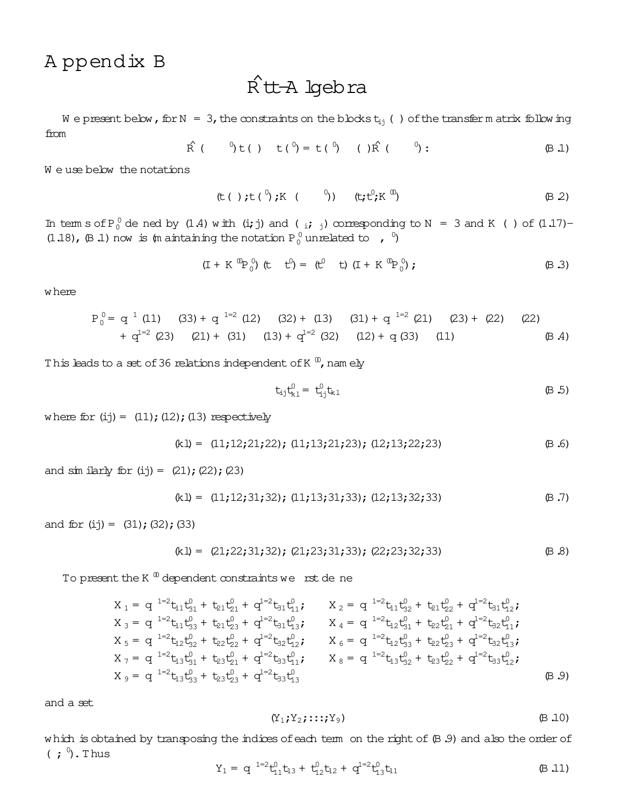## Appendix B

# $\hat{R}$ tt-A lgebra

We present below, for  $N = 3$ , the constraints on the blocks  $t_{ij}$  () of the transfer m at rix following from

$$
\hat{R} \t( \t 0) t( ) t(^0) = t(^0) \t( ) \hat{R} \t( ^0) : \t( \text{B.1})
$$

We use below the notations

$$
(\text{t} \left( )\text{ ; } \text{t} \left( ^{0}\right) \text{ ; } \text{K} \left( ^{0}\right) ) \qquad (\text{t} \text{ ; } \text{t}^{0}\text{ ; } \text{K} \stackrel{\text{w}}{\rightarrow}) \qquad (\text{B } 2)
$$

In term s of P<sub>0</sub><sup>0</sup> de ned by (1.4) with (i; j) and (i; j) corresponding to N = 3 and K () of (1.17)-(1.18),  $(\beta$  1) now is  $(\text{m} \text{ a} \text{ intaining the notation } P_0^0 \text{ unrelated to } , 0)$ 

$$
(I + K^{00}P_0^0) (t \t t^0) = (t^0 \t t) (I + K^{00}P_0^0);
$$
 (B.3)

w here

$$
P_0^0 = q^{1} (11)
$$
 (33) +  $q^{1=2} (12)$  (32) + (13) (31) +  $q^{1=2} (21)$  (23) + (22) (22)  
+  $q^{1=2} (23)$  (21) + (31) (13) +  $q^{1=2} (32)$  (12) +  $q (33)$  (11) (B A)

This leads to a set of 36 relations independent of K  $^{\circ}$ , namely

$$
t_{ij}t_{k1}^0 = t_{ij}^0 t_{k1}
$$
 (B.5)

where for  $(ij) = (11); (12); (13)$  respectively

$$
(k1) = (11; 12; 21; 22); (11; 13; 21; 23); (12; 13; 22; 23)
$$
 (B.6)

and  $\sin$  ilarly for (ij) = (21); (22); (23)

$$
(k1) = (11; 12; 31; 32); (11; 13; 31; 33); (12; 13; 32; 33)
$$
 (B.7)

and for  $(ij) = (31); (32); (33)$ 

$$
(k1) = (21; 22; 31; 32); (21; 23; 31; 33); (22; 23; 32; 33)
$$
 (B.8)

To present the K  $^{\text{m}}$  dependent constraints we rst de ne

$$
X_1 = q^{1=2}t_{11}t_{31}^0 + t_{21}t_{21}^0 + q^{1=2}t_{31}t_{11}^0;
$$
  
\n
$$
X_2 = q^{1=2}t_{11}t_{32}^0 + t_{21}t_{22}^0 + q^{1=2}t_{31}t_{12}^0;
$$
  
\n
$$
X_3 = q^{1=2}t_{11}t_{33}^0 + t_{21}t_{23}^0 + q^{1=2}t_{31}t_{13}^0;
$$
  
\n
$$
X_4 = q^{1=2}t_{12}t_{31}^0 + t_{22}t_{21}^0 + q^{1=2}t_{32}t_{11}^0;
$$
  
\n
$$
X_5 = q^{1=2}t_{12}t_{32}^0 + t_{22}t_{22}^0 + q^{1=2}t_{32}t_{12}^0;
$$
  
\n
$$
X_6 = q^{1=2}t_{12}t_{33}^0 + t_{23}t_{21}^0 + q^{1=2}t_{33}t_{11}^0;
$$
  
\n
$$
X_7 = q^{1=2}t_{13}t_{33}^0 + t_{23}t_{21}^0 + q^{1=2}t_{33}t_{13}^0;
$$
  
\n
$$
X_8 = q^{1=2}t_{13}t_{32}^0 + t_{23}t_{23}^0 + q^{1=2}t_{33}t_{13}^0
$$
  
\n
$$
X_9 = q^{1=2}t_{13}t_{33}^0 + t_{23}t_{23}^0 + q^{1=2}t_{33}t_{13}^0
$$
  
\n(B.9)

and a set

$$
(Y_1; Y_2; \ldots; Y_9) \qquad \qquad \qquad \qquad \text{(B.10)}
$$

which is obtained by transposing the indices of each term on the right of  $(B.9)$  and also the order of  $(j^0)$ . Thus

$$
Y_1 = q^{-1-2}t_{11}^0 t_{13} + t_{12}^0 t_{12} + q^{1-2}t_{13}^0 t_{11}
$$
 (B.11)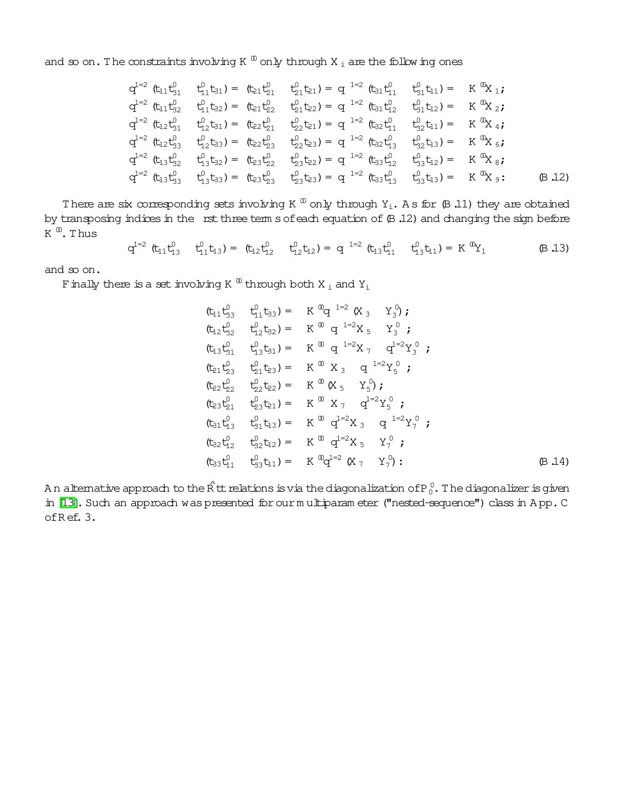and so on. The constraints involving K  $^{\text{0}}$  only through X  $_{\text{i}}$  are the following ones

$$
q^{1=2} (t_{11}t_{31}^0 \t t_{11}^0t_{31}) = (t_{21}t_{21}^0 \t t_{21}^0t_{21}t_{21}) = q^{1=2} (t_{31}t_{11}^0 \t t_{31}^0t_{11}) = K^0 X_1;
$$
\n
$$
q^{1=2} (t_{11}t_{32}^0 \t t_{11}^0t_{32}) = (t_{21}t_{22}^0 \t t_{21}^0t_{22}) = q^{1=2} (t_{31}t_{12}^0 \t t_{31}^0t_{12}) = K^0 X_2;
$$
\n
$$
q^{1=2} (t_{12}t_{31}^0 \t t_{12}^0t_{31}) = (t_{22}t_{21}^0 \t t_{22}^0t_{21}) = q^{1=2} (t_{32}t_{11}^0 \t t_{32}^0t_{11}) = K^0 X_4;
$$
\n
$$
q^{1=2} (t_{12}t_{33}^0 \t t_{12}^0t_{33}) = (t_{22}t_{23}^0 \t t_{22}^0t_{23}) = q^{1=2} (t_{32}t_{13}^0 \t t_{32}^0t_{31}) = K^0 X_6;
$$
\n
$$
q^{1=2} (t_{13}t_{32}^0 \t t_{13}^0t_{32}) = (t_{23}t_{22}^0 \t t_{23}^0t_{22}) = q^{1=2} (t_{33}t_{12}^0 \t t_{33}^0t_{12}) = K^0 X_8;
$$
\n
$$
q^{1=2} (t_{13}t_{33}^0 \t t_{13}^0t_{33}) = (t_{23}t_{23}^0 \t t_{23}^0t_{23}) = q^{1=2} (t_{33}t_{13}^0 \t t_{33}^0t_{13}) = K^0 X_9;
$$
\n(B.12)

There are six corresponding sets involving K  $^{\text{\textregistered}}$  only through Y<sub>i</sub>. As for (B 11) they are obtained by transposing indices in the rst three term s of each equation of  $($ B .12) and changing the sign before K  $^{\text{\textregistered}}$ . Thus

$$
q^{1=2} (t_{11}t_{13}^0 \t t_{11}^0 t_{13}) = (t_{12}t_{12}^0 \t t_{12}^0 t_{12}) = q^{1=2} (t_{13}t_{11}^0 \t t_{13}^0 t_{11}) = K^{00}Y_1
$$
 (B.13)

and so on.

F inally there is a set involving K  $^{\text{\textregistered}}$  through both X  $_{\text{\text{I}}}$  and Y $_{\text{\text{I}}}$ 

$$
(\mathfrak{t}_{11}\mathfrak{t}_{33}^{0} \quad \mathfrak{t}_{11}^{0}\mathfrak{t}_{33}) = K^{0}q^{-1=2} (X_{3} \quad Y_{3}^{0});
$$
\n
$$
(\mathfrak{t}_{12}\mathfrak{t}_{32}^{0} \quad \mathfrak{t}_{12}^{0}\mathfrak{t}_{32}) = K^{0} q^{-1=2} X_{5} \quad Y_{3}^{0};
$$
\n
$$
(\mathfrak{t}_{13}\mathfrak{t}_{31}^{0} \quad \mathfrak{t}_{13}^{0}\mathfrak{t}_{31}) = K^{0} q^{-1=2} X_{7} \quad q^{1=2} Y_{3}^{0};
$$
\n
$$
(\mathfrak{t}_{21}\mathfrak{t}_{23}^{0} \quad \mathfrak{t}_{21}^{0}\mathfrak{t}_{23}) = K^{0} X_{3} \quad q^{-1=2} Y_{5}^{0};
$$
\n
$$
(\mathfrak{t}_{22}\mathfrak{t}_{22}^{0} \quad \mathfrak{t}_{22}^{0}\mathfrak{t}_{22}) = K^{0} (X_{5} \quad Y_{5}^{0});
$$
\n
$$
(\mathfrak{t}_{23}\mathfrak{t}_{21}^{0} \quad \mathfrak{t}_{23}^{0}\mathfrak{t}_{21}) = K^{0} X_{7} \quad q^{1=2} Y_{5}^{0};
$$
\n
$$
(\mathfrak{t}_{31}\mathfrak{t}_{13}^{0} \quad \mathfrak{t}_{31}^{0}\mathfrak{t}_{33}) = K^{0} q^{1=2} X_{3} \quad q^{-1=2} Y_{7}^{0};
$$
\n
$$
(\mathfrak{t}_{32}\mathfrak{t}_{12}^{0} \quad \mathfrak{t}_{32}^{0}\mathfrak{t}_{12}) = K^{0} q^{1=2} X_{5} \quad Y_{7}^{0};
$$
\n
$$
(\mathfrak{t}_{33}\mathfrak{t}_{11}^{0} \quad \mathfrak{t}_{33}^{0}\mathfrak{t}_{11}) = K^{0} q^{1=2} (X_{7} \quad Y_{7}^{0});
$$
\n
$$
(B.14)
$$

A n alternative approach to the  $\hat{\mathsf{R}}$  tt relations is via the diagonalization of P  $_0^0$  . The diagonalizer is given in [\[13\]](#page-26-12). Such an approach was presented for our multiparam eter ("nested-sequence") class in A pp. C ofR ef.3.